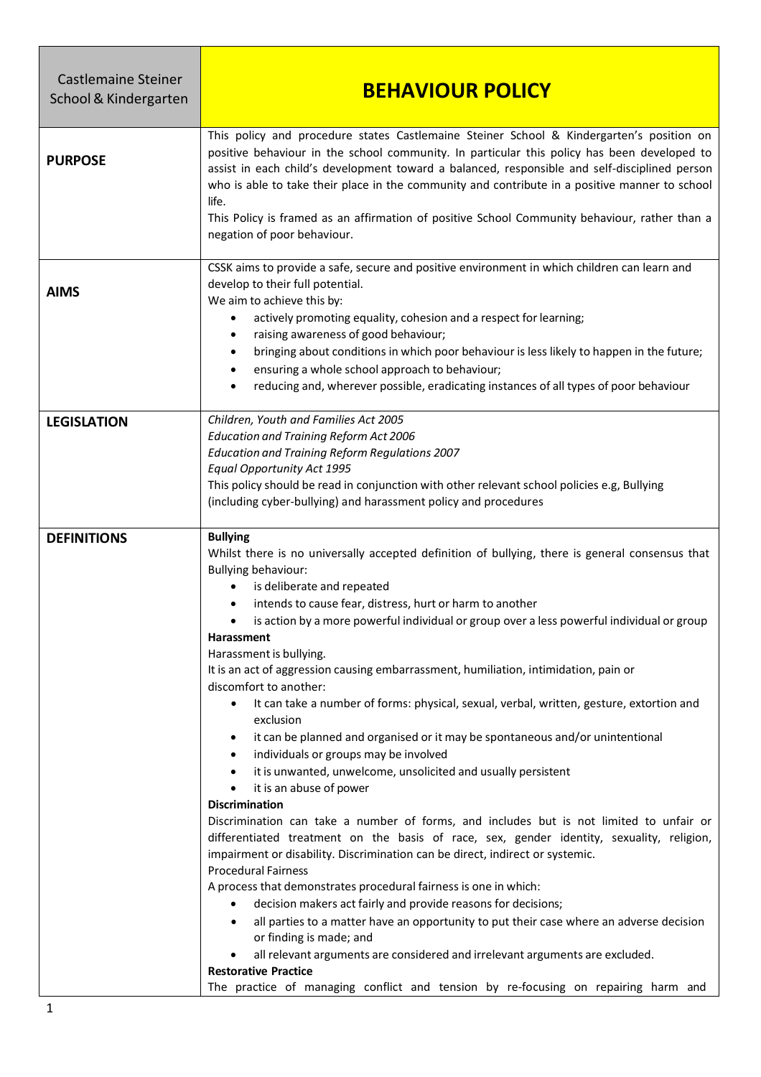| <b>Castlemaine Steiner</b><br>School & Kindergarten | <b>BEHAVIOUR POLICY</b>                                                                                                                                                                                                                                                                                                                                                                                                                                                                                                                                                                                                                                                                                                                                                                                                                                                                                                                                                                                                                                                                                                                                                                                                                                                                                                                                                                                                                                                                                                                                                                                                                                                                                                                                  |
|-----------------------------------------------------|----------------------------------------------------------------------------------------------------------------------------------------------------------------------------------------------------------------------------------------------------------------------------------------------------------------------------------------------------------------------------------------------------------------------------------------------------------------------------------------------------------------------------------------------------------------------------------------------------------------------------------------------------------------------------------------------------------------------------------------------------------------------------------------------------------------------------------------------------------------------------------------------------------------------------------------------------------------------------------------------------------------------------------------------------------------------------------------------------------------------------------------------------------------------------------------------------------------------------------------------------------------------------------------------------------------------------------------------------------------------------------------------------------------------------------------------------------------------------------------------------------------------------------------------------------------------------------------------------------------------------------------------------------------------------------------------------------------------------------------------------------|
| <b>PURPOSE</b>                                      | This policy and procedure states Castlemaine Steiner School & Kindergarten's position on<br>positive behaviour in the school community. In particular this policy has been developed to<br>assist in each child's development toward a balanced, responsible and self-disciplined person<br>who is able to take their place in the community and contribute in a positive manner to school<br>life.<br>This Policy is framed as an affirmation of positive School Community behaviour, rather than a<br>negation of poor behaviour.                                                                                                                                                                                                                                                                                                                                                                                                                                                                                                                                                                                                                                                                                                                                                                                                                                                                                                                                                                                                                                                                                                                                                                                                                      |
| <b>AIMS</b>                                         | CSSK aims to provide a safe, secure and positive environment in which children can learn and<br>develop to their full potential.<br>We aim to achieve this by:<br>actively promoting equality, cohesion and a respect for learning;<br>٠<br>raising awareness of good behaviour;<br>٠<br>bringing about conditions in which poor behaviour is less likely to happen in the future;<br>$\bullet$<br>ensuring a whole school approach to behaviour;<br>٠<br>reducing and, wherever possible, eradicating instances of all types of poor behaviour<br>٠                                                                                                                                                                                                                                                                                                                                                                                                                                                                                                                                                                                                                                                                                                                                                                                                                                                                                                                                                                                                                                                                                                                                                                                                     |
| <b>LEGISLATION</b>                                  | Children, Youth and Families Act 2005<br><b>Education and Training Reform Act 2006</b><br><b>Education and Training Reform Regulations 2007</b><br><b>Equal Opportunity Act 1995</b><br>This policy should be read in conjunction with other relevant school policies e.g, Bullying<br>(including cyber-bullying) and harassment policy and procedures                                                                                                                                                                                                                                                                                                                                                                                                                                                                                                                                                                                                                                                                                                                                                                                                                                                                                                                                                                                                                                                                                                                                                                                                                                                                                                                                                                                                   |
| <b>DEFINITIONS</b>                                  | <b>Bullying</b><br>Whilst there is no universally accepted definition of bullying, there is general consensus that<br><b>Bullying behaviour:</b><br>is deliberate and repeated<br>٠<br>intends to cause fear, distress, hurt or harm to another<br>٠<br>is action by a more powerful individual or group over a less powerful individual or group<br>$\bullet$<br>Harassment<br>Harassment is bullying.<br>It is an act of aggression causing embarrassment, humiliation, intimidation, pain or<br>discomfort to another:<br>It can take a number of forms: physical, sexual, verbal, written, gesture, extortion and<br>$\bullet$<br>exclusion<br>it can be planned and organised or it may be spontaneous and/or unintentional<br>٠<br>individuals or groups may be involved<br>$\bullet$<br>it is unwanted, unwelcome, unsolicited and usually persistent<br>$\bullet$<br>it is an abuse of power<br>$\bullet$<br><b>Discrimination</b><br>Discrimination can take a number of forms, and includes but is not limited to unfair or<br>differentiated treatment on the basis of race, sex, gender identity, sexuality, religion,<br>impairment or disability. Discrimination can be direct, indirect or systemic.<br><b>Procedural Fairness</b><br>A process that demonstrates procedural fairness is one in which:<br>decision makers act fairly and provide reasons for decisions;<br>$\bullet$<br>all parties to a matter have an opportunity to put their case where an adverse decision<br>$\bullet$<br>or finding is made; and<br>all relevant arguments are considered and irrelevant arguments are excluded.<br>$\bullet$<br><b>Restorative Practice</b><br>The practice of managing conflict and tension by re-focusing on repairing harm and |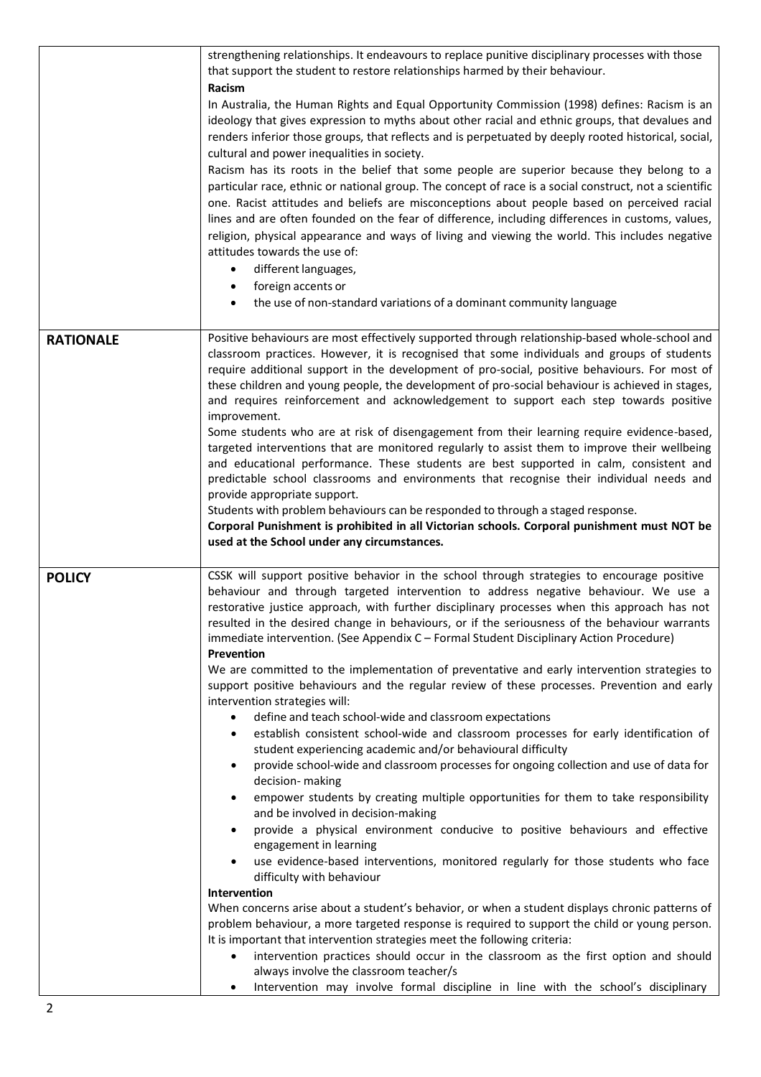|                  | strengthening relationships. It endeavours to replace punitive disciplinary processes with those<br>that support the student to restore relationships harmed by their behaviour.<br>Racism<br>In Australia, the Human Rights and Equal Opportunity Commission (1998) defines: Racism is an<br>ideology that gives expression to myths about other racial and ethnic groups, that devalues and<br>renders inferior those groups, that reflects and is perpetuated by deeply rooted historical, social,<br>cultural and power inequalities in society.<br>Racism has its roots in the belief that some people are superior because they belong to a<br>particular race, ethnic or national group. The concept of race is a social construct, not a scientific<br>one. Racist attitudes and beliefs are misconceptions about people based on perceived racial<br>lines and are often founded on the fear of difference, including differences in customs, values,<br>religion, physical appearance and ways of living and viewing the world. This includes negative<br>attitudes towards the use of:<br>different languages,<br>$\bullet$<br>foreign accents or<br>٠<br>the use of non-standard variations of a dominant community language<br>$\bullet$                                                                                                                                                                                                                                                                                                                                                                                                                                                                                                                                                                                                                                                                                                                                                                             |
|------------------|-----------------------------------------------------------------------------------------------------------------------------------------------------------------------------------------------------------------------------------------------------------------------------------------------------------------------------------------------------------------------------------------------------------------------------------------------------------------------------------------------------------------------------------------------------------------------------------------------------------------------------------------------------------------------------------------------------------------------------------------------------------------------------------------------------------------------------------------------------------------------------------------------------------------------------------------------------------------------------------------------------------------------------------------------------------------------------------------------------------------------------------------------------------------------------------------------------------------------------------------------------------------------------------------------------------------------------------------------------------------------------------------------------------------------------------------------------------------------------------------------------------------------------------------------------------------------------------------------------------------------------------------------------------------------------------------------------------------------------------------------------------------------------------------------------------------------------------------------------------------------------------------------------------------------------------------------------------------------------------------------------------------------------------|
| <b>RATIONALE</b> | Positive behaviours are most effectively supported through relationship-based whole-school and<br>classroom practices. However, it is recognised that some individuals and groups of students<br>require additional support in the development of pro-social, positive behaviours. For most of<br>these children and young people, the development of pro-social behaviour is achieved in stages,<br>and requires reinforcement and acknowledgement to support each step towards positive<br>improvement.<br>Some students who are at risk of disengagement from their learning require evidence-based,<br>targeted interventions that are monitored regularly to assist them to improve their wellbeing<br>and educational performance. These students are best supported in calm, consistent and<br>predictable school classrooms and environments that recognise their individual needs and<br>provide appropriate support.<br>Students with problem behaviours can be responded to through a staged response.<br>Corporal Punishment is prohibited in all Victorian schools. Corporal punishment must NOT be<br>used at the School under any circumstances.                                                                                                                                                                                                                                                                                                                                                                                                                                                                                                                                                                                                                                                                                                                                                                                                                                                                   |
| <b>POLICY</b>    | CSSK will support positive behavior in the school through strategies to encourage positive<br>behaviour and through targeted intervention to address negative behaviour. We use a<br>restorative justice approach, with further disciplinary processes when this approach has not<br>resulted in the desired change in behaviours, or if the seriousness of the behaviour warrants<br>immediate intervention. (See Appendix C - Formal Student Disciplinary Action Procedure)<br><b>Prevention</b><br>We are committed to the implementation of preventative and early intervention strategies to<br>support positive behaviours and the regular review of these processes. Prevention and early<br>intervention strategies will:<br>define and teach school-wide and classroom expectations<br>$\bullet$<br>establish consistent school-wide and classroom processes for early identification of<br>٠<br>student experiencing academic and/or behavioural difficulty<br>provide school-wide and classroom processes for ongoing collection and use of data for<br>٠<br>decision- making<br>empower students by creating multiple opportunities for them to take responsibility<br>٠<br>and be involved in decision-making<br>provide a physical environment conducive to positive behaviours and effective<br>$\bullet$<br>engagement in learning<br>use evidence-based interventions, monitored regularly for those students who face<br>$\bullet$<br>difficulty with behaviour<br>Intervention<br>When concerns arise about a student's behavior, or when a student displays chronic patterns of<br>problem behaviour, a more targeted response is required to support the child or young person.<br>It is important that intervention strategies meet the following criteria:<br>intervention practices should occur in the classroom as the first option and should<br>$\bullet$<br>always involve the classroom teacher/s<br>Intervention may involve formal discipline in line with the school's disciplinary<br>$\bullet$ |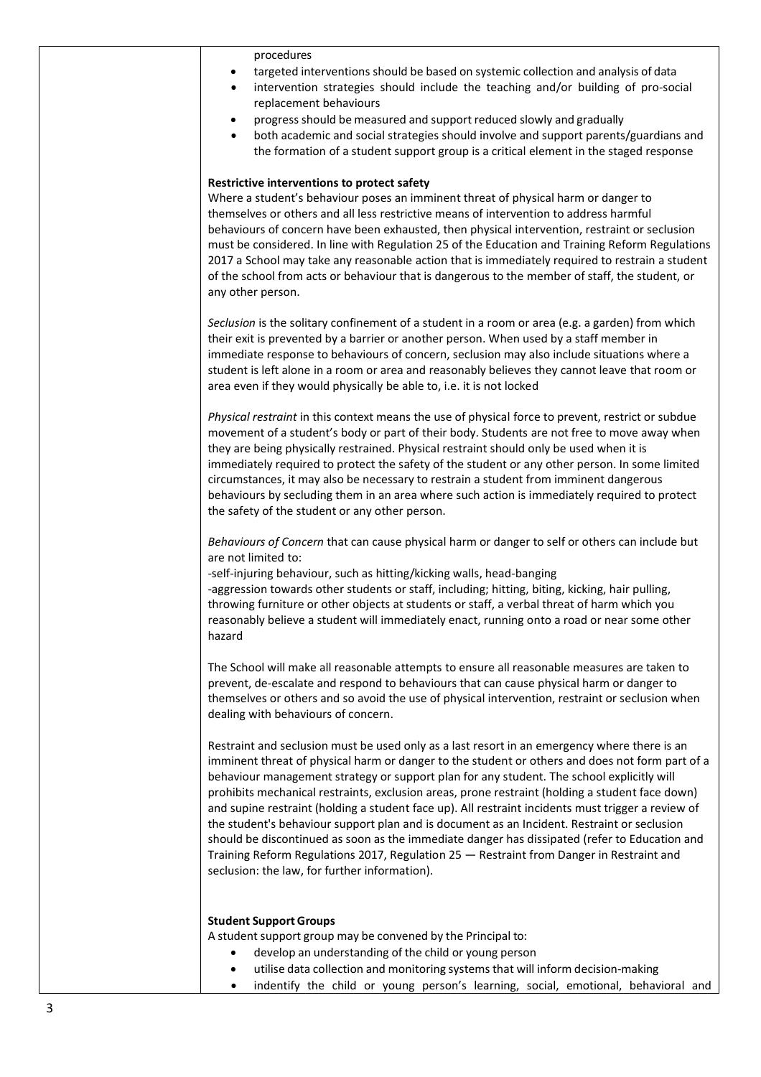procedures

- targeted interventions should be based on systemic collection and analysis of data
- intervention strategies should include the teaching and/or building of pro-social replacement behaviours
- progressshould be measured and support reduced slowly and gradually
- both academic and social strategies should involve and support parents/guardians and the formation of a student support group is a critical element in the staged response

#### **Restrictive interventions to protect safety**

Where a student's behaviour poses an imminent threat of physical harm or danger to themselves or others and all less restrictive means of intervention to address harmful behaviours of concern have been exhausted, then physical intervention, restraint or seclusion must be considered. In line with Regulation 25 of the Education and Training Reform Regulations 2017 a School may take any reasonable action that is immediately required to restrain a student of the school from acts or behaviour that is dangerous to the member of staff, the student, or any other person.

*Seclusion* is the solitary confinement of a student in a room or area (e.g. a garden) from which their exit is prevented by a barrier or another person. When used by a staff member in immediate response to behaviours of concern, seclusion may also include situations where a student is left alone in a room or area and reasonably believes they cannot leave that room or area even if they would physically be able to, i.e. it is not locked

*Physical restraint* in this context means the use of physical force to prevent, restrict or subdue movement of a student's body or part of their body. Students are not free to move away when they are being physically restrained. Physical restraint should only be used when it is immediately required to protect the safety of the student or any other person. In some limited circumstances, it may also be necessary to restrain a student from imminent dangerous behaviours by secluding them in an area where such action is immediately required to protect the safety of the student or any other person.

*Behaviours of Concern* that can cause physical harm or danger to self or others can include but are not limited to:

-self-injuring behaviour, such as hitting/kicking walls, head-banging -aggression towards other students or staff, including; hitting, biting, kicking, hair pulling, throwing furniture or other objects at students or staff, a verbal threat of harm which you

reasonably believe a student will immediately enact, running onto a road or near some other hazard

The School will make all reasonable attempts to ensure all reasonable measures are taken to prevent, de-escalate and respond to behaviours that can cause physical harm or danger to themselves or others and so avoid the use of physical intervention, restraint or seclusion when dealing with behaviours of concern.

Restraint and seclusion must be used only as a last resort in an emergency where there is an imminent threat of physical harm or danger to the student or others and does not form part of a behaviour management strategy or support plan for any student. The school explicitly will prohibits mechanical restraints, exclusion areas, prone restraint (holding a student face down) and supine restraint (holding a student face up). All restraint incidents must trigger a review of the student's behaviour support plan and is document as an Incident. Restraint or seclusion should be discontinued as soon as the immediate danger has dissipated (refer to Education and Training Reform Regulations 2017, Regulation 25 — Restraint from Danger in Restraint and seclusion: the law, for further information).

#### **Student SupportGroups**

A student support group may be convened by the Principal to:

- develop an understanding of the child or young person
- utilise data collection and monitoring systemsthat will inform decision-making
- indentify the child or young person's learning, social, emotional, behavioral and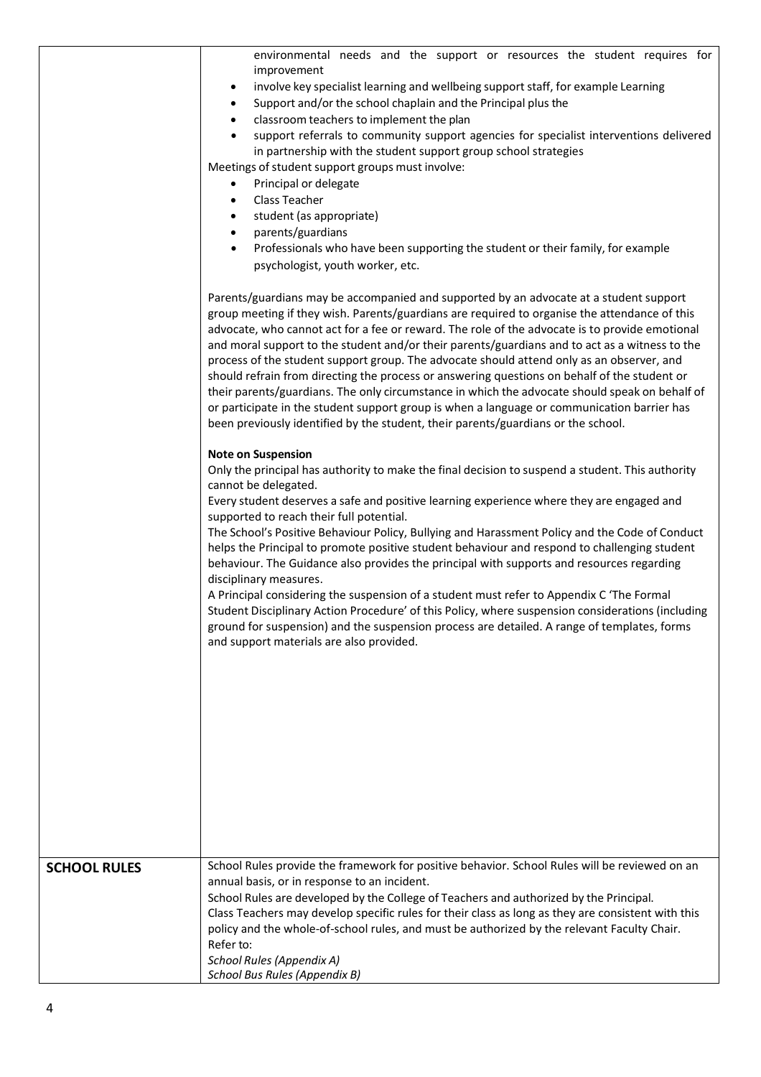|                     | environmental needs and the support or resources the student requires for<br>improvement<br>involve key specialist learning and wellbeing support staff, for example Learning<br>٠<br>Support and/or the school chaplain and the Principal plus the<br>$\bullet$<br>classroom teachers to implement the plan<br>$\bullet$<br>support referrals to community support agencies for specialist interventions delivered<br>in partnership with the student support group school strategies<br>Meetings of student support groups must involve:<br>Principal or delegate<br>$\bullet$<br>Class Teacher<br>$\bullet$<br>student (as appropriate)<br>٠<br>parents/guardians<br>$\bullet$<br>Professionals who have been supporting the student or their family, for example<br>$\bullet$<br>psychologist, youth worker, etc.                                                                                                                                               |
|---------------------|---------------------------------------------------------------------------------------------------------------------------------------------------------------------------------------------------------------------------------------------------------------------------------------------------------------------------------------------------------------------------------------------------------------------------------------------------------------------------------------------------------------------------------------------------------------------------------------------------------------------------------------------------------------------------------------------------------------------------------------------------------------------------------------------------------------------------------------------------------------------------------------------------------------------------------------------------------------------|
|                     | Parents/guardians may be accompanied and supported by an advocate at a student support<br>group meeting if they wish. Parents/guardians are required to organise the attendance of this<br>advocate, who cannot act for a fee or reward. The role of the advocate is to provide emotional<br>and moral support to the student and/or their parents/guardians and to act as a witness to the<br>process of the student support group. The advocate should attend only as an observer, and<br>should refrain from directing the process or answering questions on behalf of the student or<br>their parents/guardians. The only circumstance in which the advocate should speak on behalf of<br>or participate in the student support group is when a language or communication barrier has<br>been previously identified by the student, their parents/guardians or the school.                                                                                      |
|                     | <b>Note on Suspension</b><br>Only the principal has authority to make the final decision to suspend a student. This authority<br>cannot be delegated.<br>Every student deserves a safe and positive learning experience where they are engaged and<br>supported to reach their full potential.<br>The School's Positive Behaviour Policy, Bullying and Harassment Policy and the Code of Conduct<br>helps the Principal to promote positive student behaviour and respond to challenging student<br>behaviour. The Guidance also provides the principal with supports and resources regarding<br>disciplinary measures.<br>A Principal considering the suspension of a student must refer to Appendix C 'The Formal<br>Student Disciplinary Action Procedure' of this Policy, where suspension considerations (including<br>ground for suspension) and the suspension process are detailed. A range of templates, forms<br>and support materials are also provided. |
|                     |                                                                                                                                                                                                                                                                                                                                                                                                                                                                                                                                                                                                                                                                                                                                                                                                                                                                                                                                                                     |
| <b>SCHOOL RULES</b> | School Rules provide the framework for positive behavior. School Rules will be reviewed on an<br>annual basis, or in response to an incident.<br>School Rules are developed by the College of Teachers and authorized by the Principal.<br>Class Teachers may develop specific rules for their class as long as they are consistent with this<br>policy and the whole-of-school rules, and must be authorized by the relevant Faculty Chair.<br>Refer to:<br>School Rules (Appendix A)<br>School Bus Rules (Appendix B)                                                                                                                                                                                                                                                                                                                                                                                                                                             |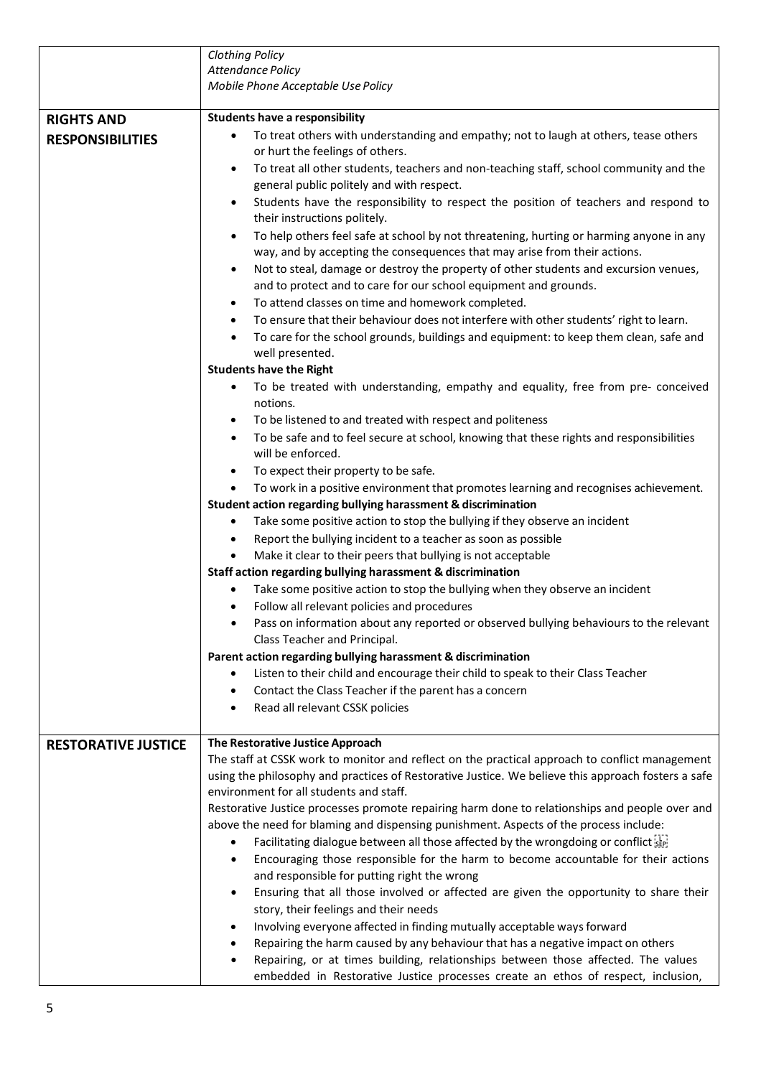|                                              | <b>Clothing Policy</b>                                                                                                                                                                                                                                                                                                                                                                                                                                                                                                                                                                                                                                                                                                                                                                                                                                                                                                                                                                                                                                                                                                                                                                                                                                                                                                                                                                                                                                                                                                                                                                                                                                                                                                                                                                                                                                                                                                                                                                                                                                                         |
|----------------------------------------------|--------------------------------------------------------------------------------------------------------------------------------------------------------------------------------------------------------------------------------------------------------------------------------------------------------------------------------------------------------------------------------------------------------------------------------------------------------------------------------------------------------------------------------------------------------------------------------------------------------------------------------------------------------------------------------------------------------------------------------------------------------------------------------------------------------------------------------------------------------------------------------------------------------------------------------------------------------------------------------------------------------------------------------------------------------------------------------------------------------------------------------------------------------------------------------------------------------------------------------------------------------------------------------------------------------------------------------------------------------------------------------------------------------------------------------------------------------------------------------------------------------------------------------------------------------------------------------------------------------------------------------------------------------------------------------------------------------------------------------------------------------------------------------------------------------------------------------------------------------------------------------------------------------------------------------------------------------------------------------------------------------------------------------------------------------------------------------|
|                                              | <b>Attendance Policy</b>                                                                                                                                                                                                                                                                                                                                                                                                                                                                                                                                                                                                                                                                                                                                                                                                                                                                                                                                                                                                                                                                                                                                                                                                                                                                                                                                                                                                                                                                                                                                                                                                                                                                                                                                                                                                                                                                                                                                                                                                                                                       |
|                                              | Mobile Phone Acceptable Use Policy                                                                                                                                                                                                                                                                                                                                                                                                                                                                                                                                                                                                                                                                                                                                                                                                                                                                                                                                                                                                                                                                                                                                                                                                                                                                                                                                                                                                                                                                                                                                                                                                                                                                                                                                                                                                                                                                                                                                                                                                                                             |
|                                              |                                                                                                                                                                                                                                                                                                                                                                                                                                                                                                                                                                                                                                                                                                                                                                                                                                                                                                                                                                                                                                                                                                                                                                                                                                                                                                                                                                                                                                                                                                                                                                                                                                                                                                                                                                                                                                                                                                                                                                                                                                                                                |
| <b>RIGHTS AND</b><br><b>RESPONSIBILITIES</b> | <b>Students have a responsibility</b><br>To treat others with understanding and empathy; not to laugh at others, tease others<br>٠<br>or hurt the feelings of others.<br>To treat all other students, teachers and non-teaching staff, school community and the<br>$\bullet$<br>general public politely and with respect.<br>Students have the responsibility to respect the position of teachers and respond to<br>$\bullet$<br>their instructions politely.<br>To help others feel safe at school by not threatening, hurting or harming anyone in any<br>$\bullet$<br>way, and by accepting the consequences that may arise from their actions.<br>Not to steal, damage or destroy the property of other students and excursion venues,<br>$\bullet$<br>and to protect and to care for our school equipment and grounds.<br>To attend classes on time and homework completed.<br>$\bullet$<br>To ensure that their behaviour does not interfere with other students' right to learn.<br>$\bullet$<br>To care for the school grounds, buildings and equipment: to keep them clean, safe and<br>$\bullet$<br>well presented.<br><b>Students have the Right</b><br>To be treated with understanding, empathy and equality, free from pre- conceived<br>$\bullet$<br>notions.<br>To be listened to and treated with respect and politeness<br>٠<br>To be safe and to feel secure at school, knowing that these rights and responsibilities<br>$\bullet$<br>will be enforced.<br>To expect their property to be safe.<br>$\bullet$<br>To work in a positive environment that promotes learning and recognises achievement.<br>Student action regarding bullying harassment & discrimination<br>Take some positive action to stop the bullying if they observe an incident<br>٠<br>Report the bullying incident to a teacher as soon as possible<br>٠<br>Make it clear to their peers that bullying is not acceptable<br>$\bullet$<br>Staff action regarding bullying harassment & discrimination<br>Take some positive action to stop the bullying when they observe an incident |
|                                              | Follow all relevant policies and procedures<br>٠<br>Pass on information about any reported or observed bullying behaviours to the relevant<br>٠<br>Class Teacher and Principal.<br>Parent action regarding bullying harassment & discrimination<br>Listen to their child and encourage their child to speak to their Class Teacher<br>Contact the Class Teacher if the parent has a concern<br>$\bullet$<br>Read all relevant CSSK policies<br>$\bullet$                                                                                                                                                                                                                                                                                                                                                                                                                                                                                                                                                                                                                                                                                                                                                                                                                                                                                                                                                                                                                                                                                                                                                                                                                                                                                                                                                                                                                                                                                                                                                                                                                       |
| <b>RESTORATIVE JUSTICE</b>                   | The Restorative Justice Approach                                                                                                                                                                                                                                                                                                                                                                                                                                                                                                                                                                                                                                                                                                                                                                                                                                                                                                                                                                                                                                                                                                                                                                                                                                                                                                                                                                                                                                                                                                                                                                                                                                                                                                                                                                                                                                                                                                                                                                                                                                               |
|                                              | The staff at CSSK work to monitor and reflect on the practical approach to conflict management<br>using the philosophy and practices of Restorative Justice. We believe this approach fosters a safe<br>environment for all students and staff.<br>Restorative Justice processes promote repairing harm done to relationships and people over and<br>above the need for blaming and dispensing punishment. Aspects of the process include:<br>Facilitating dialogue between all those affected by the wrongdoing or conflict step<br>٠<br>Encouraging those responsible for the harm to become accountable for their actions<br>$\bullet$<br>and responsible for putting right the wrong<br>Ensuring that all those involved or affected are given the opportunity to share their<br>$\bullet$<br>story, their feelings and their needs<br>Involving everyone affected in finding mutually acceptable ways forward<br>٠<br>Repairing the harm caused by any behaviour that has a negative impact on others<br>$\bullet$<br>Repairing, or at times building, relationships between those affected. The values<br>$\bullet$                                                                                                                                                                                                                                                                                                                                                                                                                                                                                                                                                                                                                                                                                                                                                                                                                                                                                                                                                      |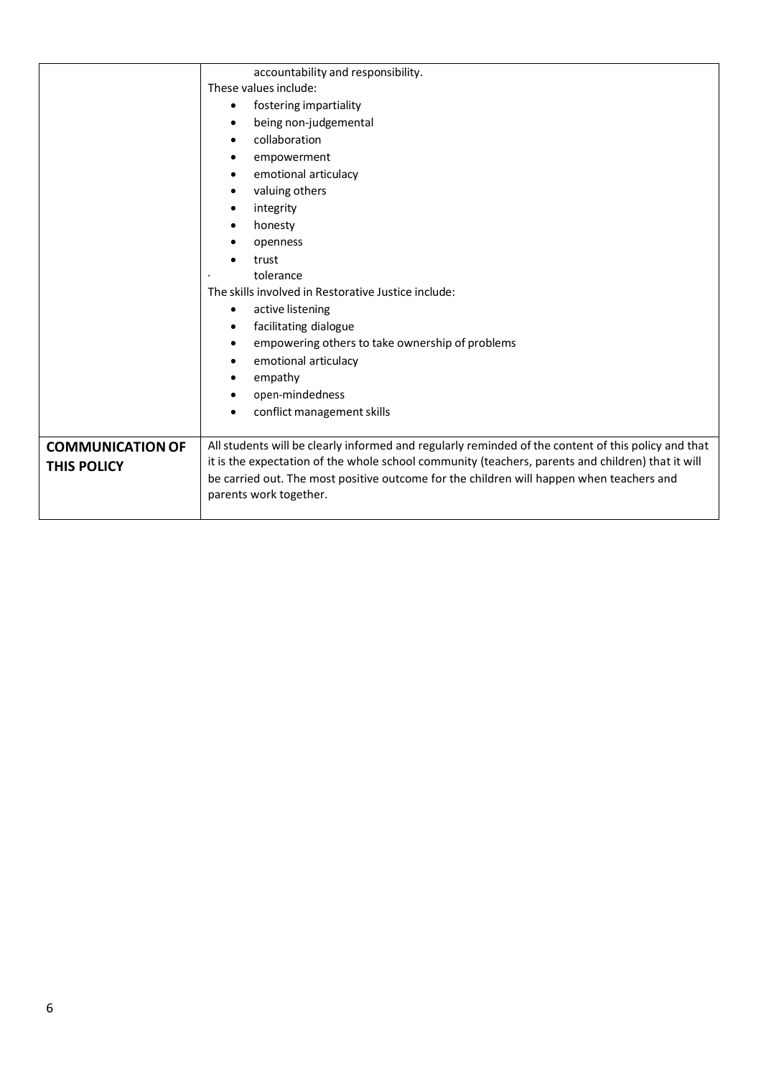|                         | accountability and responsibility.                                                                                                                                                                       |
|-------------------------|----------------------------------------------------------------------------------------------------------------------------------------------------------------------------------------------------------|
|                         | These values include:                                                                                                                                                                                    |
|                         | fostering impartiality<br>٠                                                                                                                                                                              |
|                         | being non-judgemental<br>٠                                                                                                                                                                               |
|                         | collaboration<br>٠                                                                                                                                                                                       |
|                         | empowerment<br>٠                                                                                                                                                                                         |
|                         | emotional articulacy<br>$\bullet$                                                                                                                                                                        |
|                         | valuing others<br>$\bullet$                                                                                                                                                                              |
|                         | integrity<br>٠                                                                                                                                                                                           |
|                         | honesty<br>$\bullet$                                                                                                                                                                                     |
|                         | openness<br>٠                                                                                                                                                                                            |
|                         | trust                                                                                                                                                                                                    |
|                         | tolerance                                                                                                                                                                                                |
|                         | The skills involved in Restorative Justice include:                                                                                                                                                      |
|                         | active listening<br>$\bullet$                                                                                                                                                                            |
|                         | facilitating dialogue<br>$\bullet$                                                                                                                                                                       |
|                         | empowering others to take ownership of problems<br>٠                                                                                                                                                     |
|                         | emotional articulacy<br>٠                                                                                                                                                                                |
|                         | empathy<br>٠                                                                                                                                                                                             |
|                         | open-mindedness<br>$\bullet$                                                                                                                                                                             |
|                         | conflict management skills                                                                                                                                                                               |
|                         |                                                                                                                                                                                                          |
| <b>COMMUNICATION OF</b> | All students will be clearly informed and regularly reminded of the content of this policy and that<br>it is the expectation of the whole school community (teachers, parents and children) that it will |
| <b>THIS POLICY</b>      | be carried out. The most positive outcome for the children will happen when teachers and                                                                                                                 |
|                         | parents work together.                                                                                                                                                                                   |
|                         |                                                                                                                                                                                                          |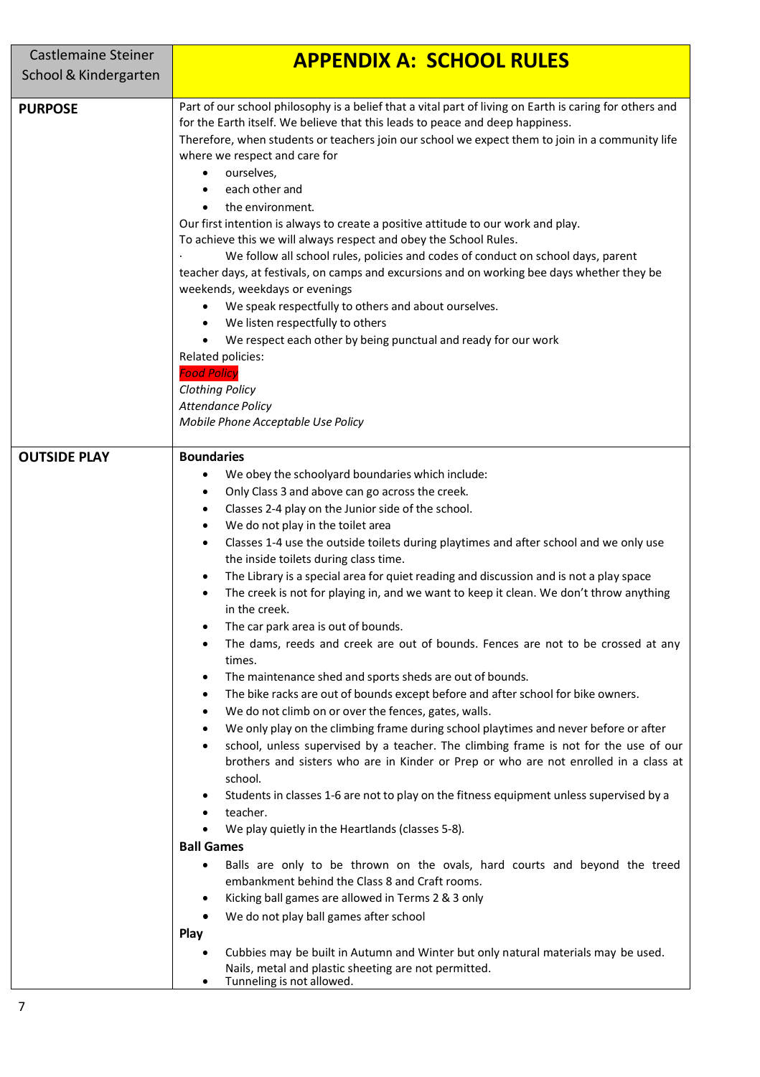| <b>Castlemaine Steiner</b> | <b>APPENDIX A: SCHOOL RULES</b>                                                                                                                                                                                                                                                                                                                                                                                                                                                                                                                                                                                                                                                                                                                                                                                                                                                                                                                                                                                                                                                                                                                                                                                                                                                                                                                                                                                                                                                                                                                                                                                                                                                                                                                                                                                                                                                                                       |
|----------------------------|-----------------------------------------------------------------------------------------------------------------------------------------------------------------------------------------------------------------------------------------------------------------------------------------------------------------------------------------------------------------------------------------------------------------------------------------------------------------------------------------------------------------------------------------------------------------------------------------------------------------------------------------------------------------------------------------------------------------------------------------------------------------------------------------------------------------------------------------------------------------------------------------------------------------------------------------------------------------------------------------------------------------------------------------------------------------------------------------------------------------------------------------------------------------------------------------------------------------------------------------------------------------------------------------------------------------------------------------------------------------------------------------------------------------------------------------------------------------------------------------------------------------------------------------------------------------------------------------------------------------------------------------------------------------------------------------------------------------------------------------------------------------------------------------------------------------------------------------------------------------------------------------------------------------------|
| School & Kindergarten      |                                                                                                                                                                                                                                                                                                                                                                                                                                                                                                                                                                                                                                                                                                                                                                                                                                                                                                                                                                                                                                                                                                                                                                                                                                                                                                                                                                                                                                                                                                                                                                                                                                                                                                                                                                                                                                                                                                                       |
|                            |                                                                                                                                                                                                                                                                                                                                                                                                                                                                                                                                                                                                                                                                                                                                                                                                                                                                                                                                                                                                                                                                                                                                                                                                                                                                                                                                                                                                                                                                                                                                                                                                                                                                                                                                                                                                                                                                                                                       |
| <b>PURPOSE</b>             | Part of our school philosophy is a belief that a vital part of living on Earth is caring for others and<br>for the Earth itself. We believe that this leads to peace and deep happiness.<br>Therefore, when students or teachers join our school we expect them to join in a community life<br>where we respect and care for<br>ourselves,<br>$\bullet$<br>each other and<br>the environment.<br>Our first intention is always to create a positive attitude to our work and play.<br>To achieve this we will always respect and obey the School Rules.<br>We follow all school rules, policies and codes of conduct on school days, parent<br>teacher days, at festivals, on camps and excursions and on working bee days whether they be<br>weekends, weekdays or evenings<br>We speak respectfully to others and about ourselves.<br>We listen respectfully to others<br>$\bullet$<br>We respect each other by being punctual and ready for our work<br>Related policies:<br><b>Food Policy</b><br><b>Clothing Policy</b><br><b>Attendance Policy</b>                                                                                                                                                                                                                                                                                                                                                                                                                                                                                                                                                                                                                                                                                                                                                                                                                                                              |
|                            | Mobile Phone Acceptable Use Policy                                                                                                                                                                                                                                                                                                                                                                                                                                                                                                                                                                                                                                                                                                                                                                                                                                                                                                                                                                                                                                                                                                                                                                                                                                                                                                                                                                                                                                                                                                                                                                                                                                                                                                                                                                                                                                                                                    |
|                            |                                                                                                                                                                                                                                                                                                                                                                                                                                                                                                                                                                                                                                                                                                                                                                                                                                                                                                                                                                                                                                                                                                                                                                                                                                                                                                                                                                                                                                                                                                                                                                                                                                                                                                                                                                                                                                                                                                                       |
| <b>OUTSIDE PLAY</b>        | <b>Boundaries</b><br>We obey the schoolyard boundaries which include:<br>$\bullet$<br>Only Class 3 and above can go across the creek.<br>٠<br>Classes 2-4 play on the Junior side of the school.<br>٠<br>We do not play in the toilet area<br>٠<br>Classes 1-4 use the outside toilets during playtimes and after school and we only use<br>$\bullet$<br>the inside toilets during class time.<br>The Library is a special area for quiet reading and discussion and is not a play space<br>$\bullet$<br>The creek is not for playing in, and we want to keep it clean. We don't throw anything<br>in the creek.<br>The car park area is out of bounds.<br>The dams, reeds and creek are out of bounds. Fences are not to be crossed at any<br>times.<br>The maintenance shed and sports sheds are out of bounds.<br>The bike racks are out of bounds except before and after school for bike owners.<br>$\bullet$<br>We do not climb on or over the fences, gates, walls.<br>٠<br>We only play on the climbing frame during school playtimes and never before or after<br>$\bullet$<br>school, unless supervised by a teacher. The climbing frame is not for the use of our<br>$\bullet$<br>brothers and sisters who are in Kinder or Prep or who are not enrolled in a class at<br>school.<br>Students in classes 1-6 are not to play on the fitness equipment unless supervised by a<br>teacher.<br>We play quietly in the Heartlands (classes 5-8).<br><b>Ball Games</b><br>Balls are only to be thrown on the ovals, hard courts and beyond the treed<br>$\bullet$<br>embankment behind the Class 8 and Craft rooms.<br>Kicking ball games are allowed in Terms 2 & 3 only<br>٠<br>We do not play ball games after school<br>Play<br>Cubbies may be built in Autumn and Winter but only natural materials may be used.<br>Nails, metal and plastic sheeting are not permitted.<br>Tunneling is not allowed.<br>٠ |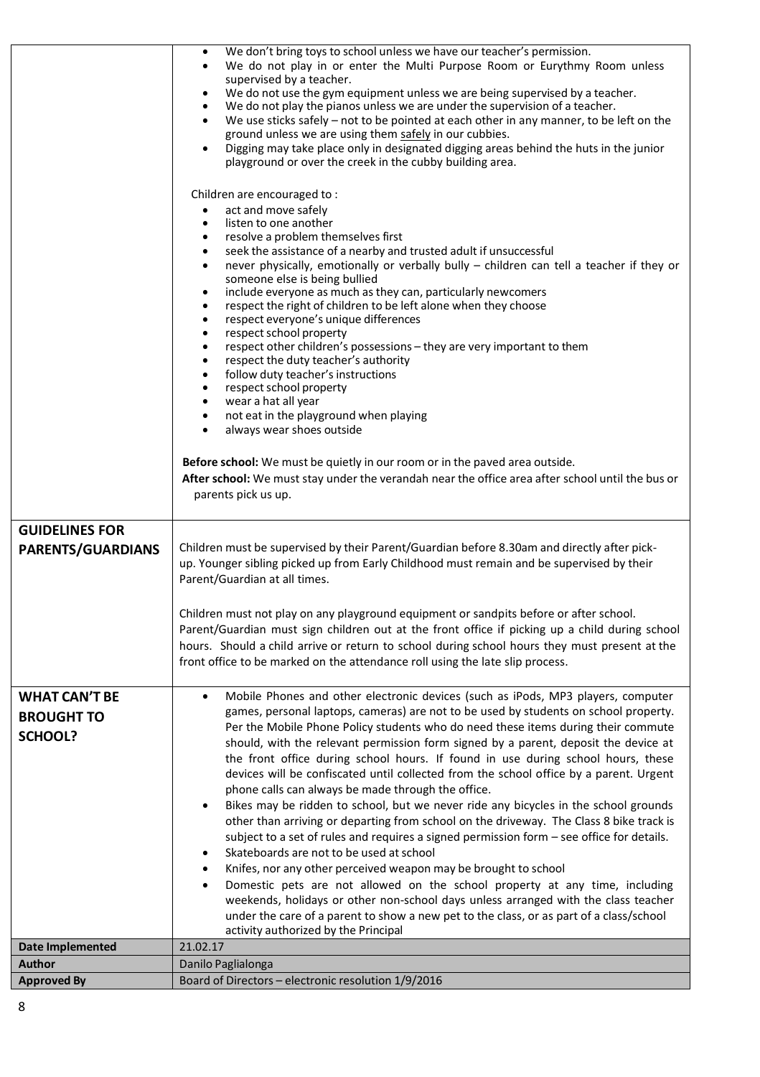|                                                             | We don't bring toys to school unless we have our teacher's permission.<br>٠<br>We do not play in or enter the Multi Purpose Room or Eurythmy Room unless<br>$\bullet$<br>supervised by a teacher.<br>We do not use the gym equipment unless we are being supervised by a teacher.<br>٠<br>We do not play the pianos unless we are under the supervision of a teacher.<br>$\bullet$<br>We use sticks safely - not to be pointed at each other in any manner, to be left on the<br>$\bullet$<br>ground unless we are using them safely in our cubbies.<br>Digging may take place only in designated digging areas behind the huts in the junior<br>playground or over the creek in the cubby building area.<br>Children are encouraged to:<br>act and move safely<br>listen to one another<br>$\bullet$<br>resolve a problem themselves first<br>$\bullet$<br>seek the assistance of a nearby and trusted adult if unsuccessful<br>$\bullet$<br>never physically, emotionally or verbally bully - children can tell a teacher if they or<br>$\bullet$<br>someone else is being bullied<br>include everyone as much as they can, particularly newcomers<br>$\bullet$<br>respect the right of children to be left alone when they choose<br>$\bullet$<br>respect everyone's unique differences<br>$\bullet$<br>respect school property<br>$\bullet$<br>respect other children's possessions - they are very important to them<br>$\bullet$<br>respect the duty teacher's authority<br>$\bullet$<br>follow duty teacher's instructions<br>$\bullet$<br>respect school property<br>$\bullet$<br>wear a hat all year<br>$\bullet$<br>not eat in the playground when playing<br>$\bullet$<br>always wear shoes outside<br>$\bullet$<br>Before school: We must be quietly in our room or in the paved area outside.<br>After school: We must stay under the verandah near the office area after school until the bus or<br>parents pick us up. |
|-------------------------------------------------------------|---------------------------------------------------------------------------------------------------------------------------------------------------------------------------------------------------------------------------------------------------------------------------------------------------------------------------------------------------------------------------------------------------------------------------------------------------------------------------------------------------------------------------------------------------------------------------------------------------------------------------------------------------------------------------------------------------------------------------------------------------------------------------------------------------------------------------------------------------------------------------------------------------------------------------------------------------------------------------------------------------------------------------------------------------------------------------------------------------------------------------------------------------------------------------------------------------------------------------------------------------------------------------------------------------------------------------------------------------------------------------------------------------------------------------------------------------------------------------------------------------------------------------------------------------------------------------------------------------------------------------------------------------------------------------------------------------------------------------------------------------------------------------------------------------------------------------------------------------------------------------------------------------------------------------------------|
| <b>GUIDELINES FOR</b><br><b>PARENTS/GUARDIANS</b>           | Children must be supervised by their Parent/Guardian before 8.30am and directly after pick-<br>up. Younger sibling picked up from Early Childhood must remain and be supervised by their<br>Parent/Guardian at all times.<br>Children must not play on any playground equipment or sandpits before or after school.<br>Parent/Guardian must sign children out at the front office if picking up a child during school<br>hours. Should a child arrive or return to school during school hours they must present at the<br>front office to be marked on the attendance roll using the late slip process.                                                                                                                                                                                                                                                                                                                                                                                                                                                                                                                                                                                                                                                                                                                                                                                                                                                                                                                                                                                                                                                                                                                                                                                                                                                                                                                               |
| <b>WHAT CAN'T BE</b><br><b>BROUGHT TO</b><br><b>SCHOOL?</b> | Mobile Phones and other electronic devices (such as iPods, MP3 players, computer<br>$\bullet$<br>games, personal laptops, cameras) are not to be used by students on school property.<br>Per the Mobile Phone Policy students who do need these items during their commute<br>should, with the relevant permission form signed by a parent, deposit the device at<br>the front office during school hours. If found in use during school hours, these<br>devices will be confiscated until collected from the school office by a parent. Urgent<br>phone calls can always be made through the office.<br>Bikes may be ridden to school, but we never ride any bicycles in the school grounds<br>$\bullet$<br>other than arriving or departing from school on the driveway. The Class 8 bike track is<br>subject to a set of rules and requires a signed permission form - see office for details.<br>Skateboards are not to be used at school<br>Knifes, nor any other perceived weapon may be brought to school<br>$\bullet$<br>Domestic pets are not allowed on the school property at any time, including<br>weekends, holidays or other non-school days unless arranged with the class teacher                                                                                                                                                                                                                                                                                                                                                                                                                                                                                                                                                                                                                                                                                                                                    |
|                                                             | under the care of a parent to show a new pet to the class, or as part of a class/school<br>activity authorized by the Principal                                                                                                                                                                                                                                                                                                                                                                                                                                                                                                                                                                                                                                                                                                                                                                                                                                                                                                                                                                                                                                                                                                                                                                                                                                                                                                                                                                                                                                                                                                                                                                                                                                                                                                                                                                                                       |
| Date Implemented                                            | 21.02.17                                                                                                                                                                                                                                                                                                                                                                                                                                                                                                                                                                                                                                                                                                                                                                                                                                                                                                                                                                                                                                                                                                                                                                                                                                                                                                                                                                                                                                                                                                                                                                                                                                                                                                                                                                                                                                                                                                                              |
| <b>Author</b>                                               | Danilo Paglialonga                                                                                                                                                                                                                                                                                                                                                                                                                                                                                                                                                                                                                                                                                                                                                                                                                                                                                                                                                                                                                                                                                                                                                                                                                                                                                                                                                                                                                                                                                                                                                                                                                                                                                                                                                                                                                                                                                                                    |
| <b>Approved By</b>                                          | Board of Directors - electronic resolution 1/9/2016                                                                                                                                                                                                                                                                                                                                                                                                                                                                                                                                                                                                                                                                                                                                                                                                                                                                                                                                                                                                                                                                                                                                                                                                                                                                                                                                                                                                                                                                                                                                                                                                                                                                                                                                                                                                                                                                                   |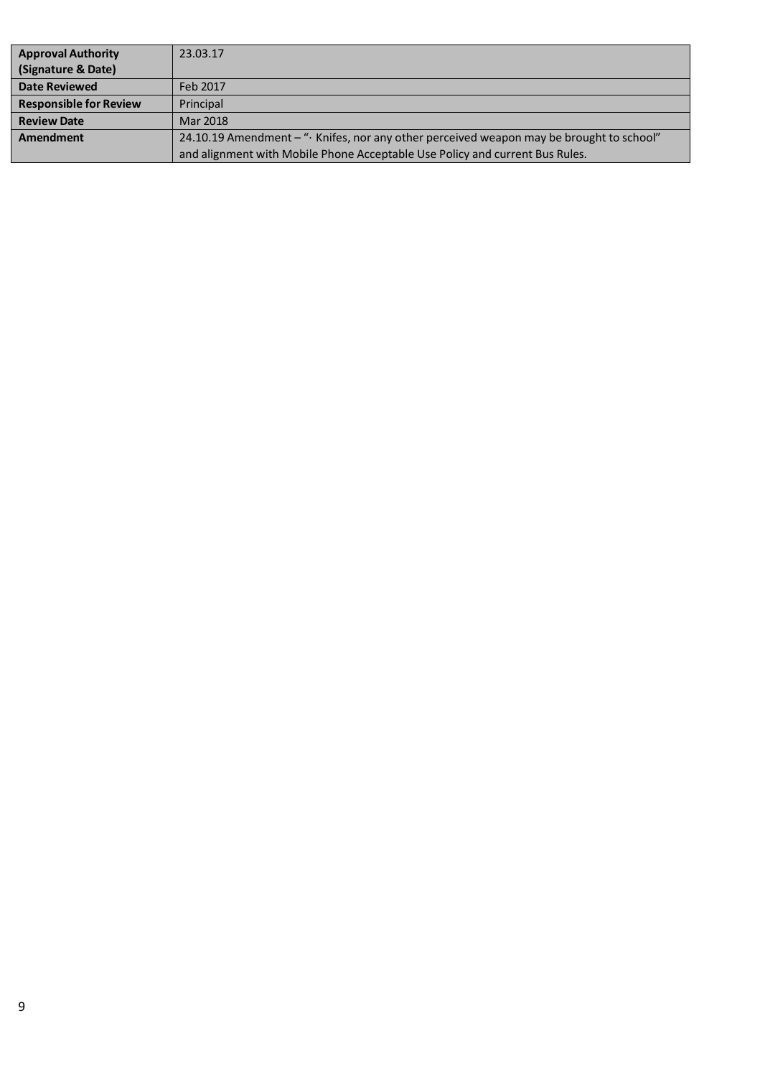| <b>Approval Authority</b>     | 23.03.17                                                                                 |
|-------------------------------|------------------------------------------------------------------------------------------|
| (Signature & Date)            |                                                                                          |
| Date Reviewed                 | Feb 2017                                                                                 |
| <b>Responsible for Review</b> | Principal                                                                                |
| <b>Review Date</b>            | Mar 2018                                                                                 |
| Amendment                     | 24.10.19 Amendment - "· Knifes, nor any other perceived weapon may be brought to school" |
|                               | and alignment with Mobile Phone Acceptable Use Policy and current Bus Rules.             |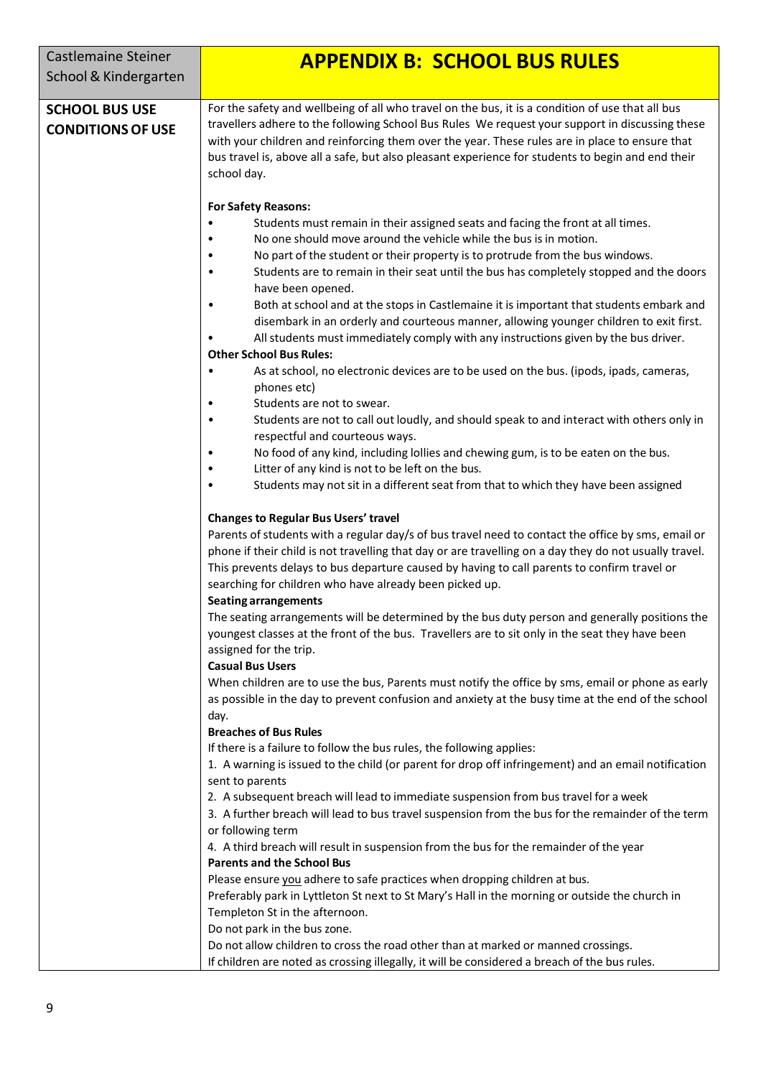| <b>Castlemaine Steiner</b><br>School & Kindergarten | <b>APPENDIX B: SCHOOL BUS RULES</b>                                                                                                                                                                                                                                                                                                                                                                                                                                                                                                                                                                                                                                                                                                                                                                                                                                                                                                                                                                                                                                        |
|-----------------------------------------------------|----------------------------------------------------------------------------------------------------------------------------------------------------------------------------------------------------------------------------------------------------------------------------------------------------------------------------------------------------------------------------------------------------------------------------------------------------------------------------------------------------------------------------------------------------------------------------------------------------------------------------------------------------------------------------------------------------------------------------------------------------------------------------------------------------------------------------------------------------------------------------------------------------------------------------------------------------------------------------------------------------------------------------------------------------------------------------|
| <b>SCHOOL BUS USE</b><br><b>CONDITIONS OF USE</b>   | For the safety and wellbeing of all who travel on the bus, it is a condition of use that all bus<br>travellers adhere to the following School Bus Rules We request your support in discussing these<br>with your children and reinforcing them over the year. These rules are in place to ensure that<br>bus travel is, above all a safe, but also pleasant experience for students to begin and end their<br>school day.                                                                                                                                                                                                                                                                                                                                                                                                                                                                                                                                                                                                                                                  |
|                                                     | <b>For Safety Reasons:</b><br>Students must remain in their assigned seats and facing the front at all times.<br>No one should move around the vehicle while the bus is in motion.<br>No part of the student or their property is to protrude from the bus windows.<br>Students are to remain in their seat until the bus has completely stopped and the doors<br>have been opened.<br>Both at school and at the stops in Castlemaine it is important that students embark and<br>disembark in an orderly and courteous manner, allowing younger children to exit first.<br>All students must immediately comply with any instructions given by the bus driver.<br><b>Other School Bus Rules:</b><br>As at school, no electronic devices are to be used on the bus. (ipods, ipads, cameras,<br>$\bullet$<br>phones etc)<br>Students are not to swear.<br>Students are not to call out loudly, and should speak to and interact with others only in<br>respectful and courteous ways.<br>No food of any kind, including lollies and chewing gum, is to be eaten on the bus. |
|                                                     | Litter of any kind is not to be left on the bus.<br>Students may not sit in a different seat from that to which they have been assigned<br><b>Changes to Regular Bus Users' travel</b><br>Parents of students with a regular day/s of bus travel need to contact the office by sms, email or<br>phone if their child is not travelling that day or are travelling on a day they do not usually travel.<br>This prevents delays to bus departure caused by having to call parents to confirm travel or                                                                                                                                                                                                                                                                                                                                                                                                                                                                                                                                                                      |
|                                                     | searching for children who have already been picked up.<br><b>Seating arrangements</b><br>The seating arrangements will be determined by the bus duty person and generally positions the<br>youngest classes at the front of the bus. Travellers are to sit only in the seat they have been<br>assigned for the trip.<br><b>Casual Bus Users</b><br>When children are to use the bus, Parents must notify the office by sms, email or phone as early<br>as possible in the day to prevent confusion and anxiety at the busy time at the end of the school                                                                                                                                                                                                                                                                                                                                                                                                                                                                                                                  |
|                                                     | day.<br><b>Breaches of Bus Rules</b><br>If there is a failure to follow the bus rules, the following applies:<br>1. A warning is issued to the child (or parent for drop off infringement) and an email notification<br>sent to parents<br>2. A subsequent breach will lead to immediate suspension from bus travel for a week<br>3. A further breach will lead to bus travel suspension from the bus for the remainder of the term<br>or following term<br>4. A third breach will result in suspension from the bus for the remainder of the year<br><b>Parents and the School Bus</b><br>Please ensure you adhere to safe practices when dropping children at bus.<br>Preferably park in Lyttleton St next to St Mary's Hall in the morning or outside the church in<br>Templeton St in the afternoon.<br>Do not park in the bus zone.<br>Do not allow children to cross the road other than at marked or manned crossings.<br>If children are noted as crossing illegally, it will be considered a breach of the bus rules.                                             |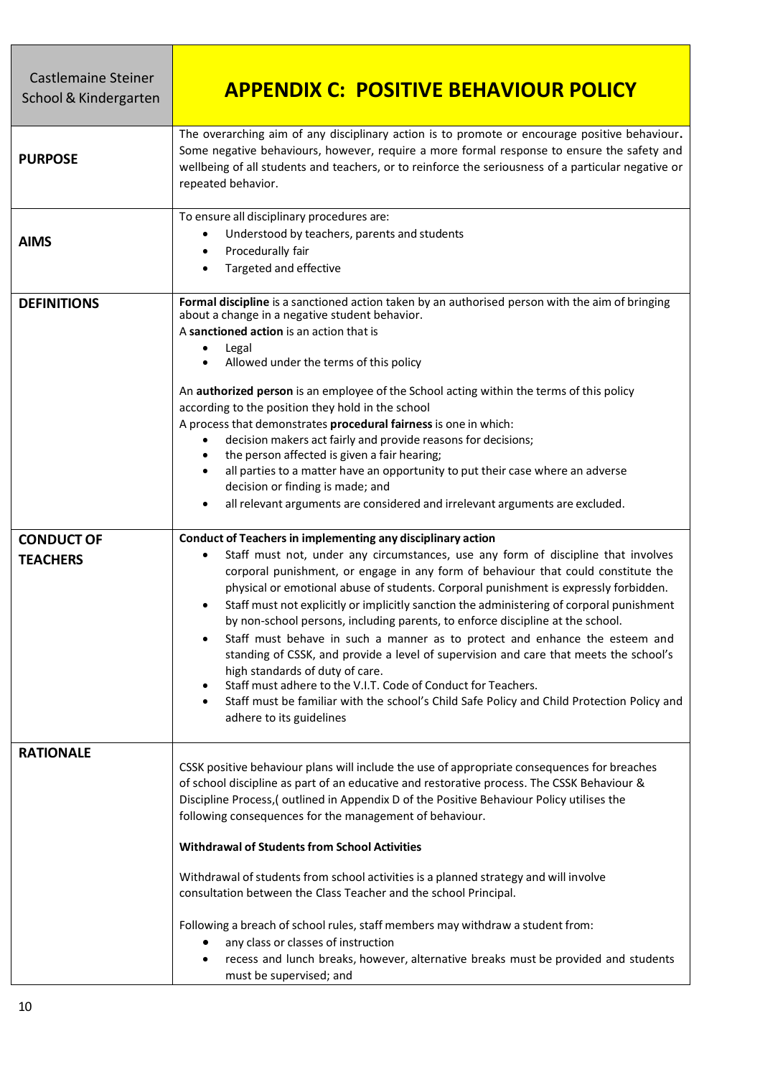| <b>Castlemaine Steiner</b><br>School & Kindergarten | <b>APPENDIX C: POSITIVE BEHAVIOUR POLICY</b>                                                                                                                                                                                                                                                                                                                                                                                                                                                                                                                                                                                                                                                                                                                                                                                                                                                                       |
|-----------------------------------------------------|--------------------------------------------------------------------------------------------------------------------------------------------------------------------------------------------------------------------------------------------------------------------------------------------------------------------------------------------------------------------------------------------------------------------------------------------------------------------------------------------------------------------------------------------------------------------------------------------------------------------------------------------------------------------------------------------------------------------------------------------------------------------------------------------------------------------------------------------------------------------------------------------------------------------|
| <b>PURPOSE</b>                                      | The overarching aim of any disciplinary action is to promote or encourage positive behaviour.<br>Some negative behaviours, however, require a more formal response to ensure the safety and<br>wellbeing of all students and teachers, or to reinforce the seriousness of a particular negative or<br>repeated behavior.                                                                                                                                                                                                                                                                                                                                                                                                                                                                                                                                                                                           |
| <b>AIMS</b>                                         | To ensure all disciplinary procedures are:<br>Understood by teachers, parents and students<br>٠<br>Procedurally fair<br>Targeted and effective<br>$\bullet$                                                                                                                                                                                                                                                                                                                                                                                                                                                                                                                                                                                                                                                                                                                                                        |
| <b>DEFINITIONS</b>                                  | Formal discipline is a sanctioned action taken by an authorised person with the aim of bringing<br>about a change in a negative student behavior.<br>A sanctioned action is an action that is<br>Legal<br>Allowed under the terms of this policy<br>An authorized person is an employee of the School acting within the terms of this policy<br>according to the position they hold in the school<br>A process that demonstrates procedural fairness is one in which:<br>decision makers act fairly and provide reasons for decisions;<br>the person affected is given a fair hearing;<br>all parties to a matter have an opportunity to put their case where an adverse<br>decision or finding is made; and<br>all relevant arguments are considered and irrelevant arguments are excluded.                                                                                                                       |
| <b>CONDUCT OF</b><br><b>TEACHERS</b>                | Conduct of Teachers in implementing any disciplinary action<br>Staff must not, under any circumstances, use any form of discipline that involves<br>corporal punishment, or engage in any form of behaviour that could constitute the<br>physical or emotional abuse of students. Corporal punishment is expressly forbidden.<br>Staff must not explicitly or implicitly sanction the administering of corporal punishment<br>by non-school persons, including parents, to enforce discipline at the school.<br>Staff must behave in such a manner as to protect and enhance the esteem and<br>standing of CSSK, and provide a level of supervision and care that meets the school's<br>high standards of duty of care.<br>Staff must adhere to the V.I.T. Code of Conduct for Teachers.<br>Staff must be familiar with the school's Child Safe Policy and Child Protection Policy and<br>adhere to its guidelines |
| <b>RATIONALE</b>                                    | CSSK positive behaviour plans will include the use of appropriate consequences for breaches<br>of school discipline as part of an educative and restorative process. The CSSK Behaviour &<br>Discipline Process, (outlined in Appendix D of the Positive Behaviour Policy utilises the<br>following consequences for the management of behaviour.<br><b>Withdrawal of Students from School Activities</b><br>Withdrawal of students from school activities is a planned strategy and will involve<br>consultation between the Class Teacher and the school Principal.<br>Following a breach of school rules, staff members may withdraw a student from:<br>any class or classes of instruction<br>recess and lunch breaks, however, alternative breaks must be provided and students<br>must be supervised; and                                                                                                    |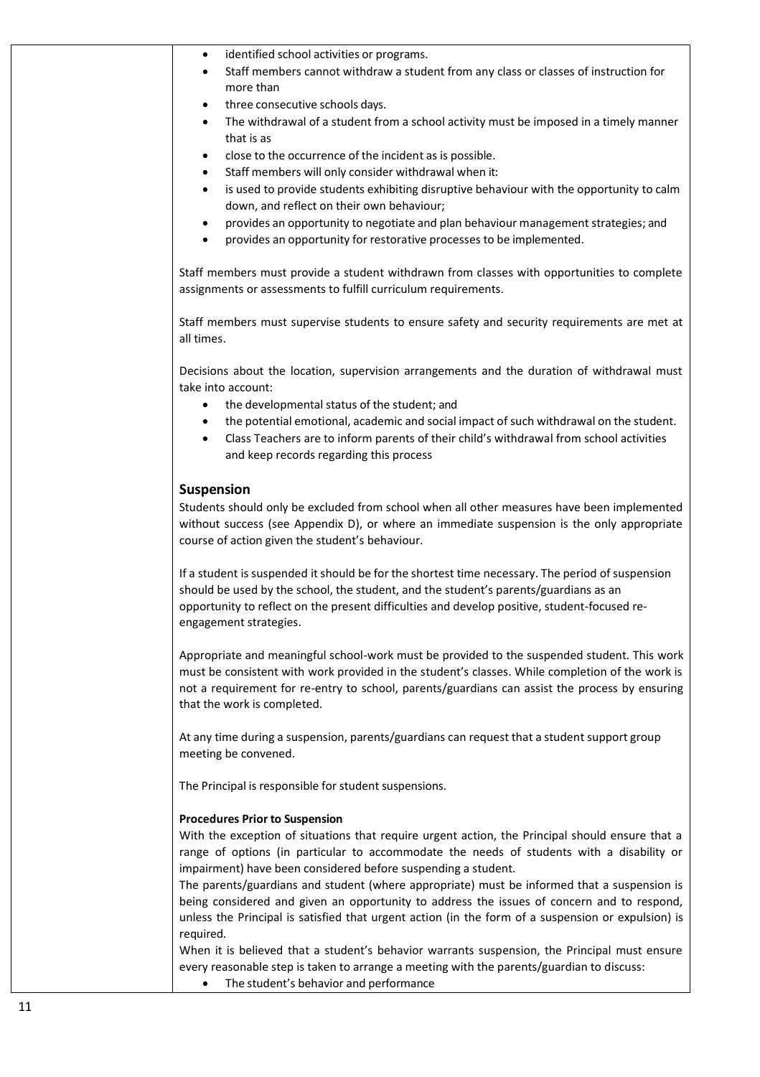| ٠                      | identified school activities or programs.                                                                                                                                                         |
|------------------------|---------------------------------------------------------------------------------------------------------------------------------------------------------------------------------------------------|
| $\bullet$              | Staff members cannot withdraw a student from any class or classes of instruction for                                                                                                              |
|                        | more than                                                                                                                                                                                         |
| ٠                      | three consecutive schools days.                                                                                                                                                                   |
| ٠                      | The withdrawal of a student from a school activity must be imposed in a timely manner                                                                                                             |
|                        | that is as                                                                                                                                                                                        |
| ٠                      | close to the occurrence of the incident as is possible.                                                                                                                                           |
| $\bullet$              | Staff members will only consider withdrawal when it:                                                                                                                                              |
| ٠                      | is used to provide students exhibiting disruptive behaviour with the opportunity to calm<br>down, and reflect on their own behaviour;                                                             |
| $\bullet$<br>$\bullet$ | provides an opportunity to negotiate and plan behaviour management strategies; and<br>provides an opportunity for restorative processes to be implemented.                                        |
|                        | Staff members must provide a student withdrawn from classes with opportunities to complete<br>assignments or assessments to fulfill curriculum requirements.                                      |
| all times.             | Staff members must supervise students to ensure safety and security requirements are met at                                                                                                       |
|                        | Decisions about the location, supervision arrangements and the duration of withdrawal must<br>take into account:                                                                                  |
|                        | the developmental status of the student; and                                                                                                                                                      |
| ٠                      | the potential emotional, academic and social impact of such withdrawal on the student.                                                                                                            |
| $\bullet$              | Class Teachers are to inform parents of their child's withdrawal from school activities<br>and keep records regarding this process                                                                |
| <b>Suspension</b>      |                                                                                                                                                                                                   |
|                        | Students should only be excluded from school when all other measures have been implemented                                                                                                        |
|                        | without success (see Appendix D), or where an immediate suspension is the only appropriate<br>course of action given the student's behaviour.                                                     |
|                        | If a student is suspended it should be for the shortest time necessary. The period of suspension                                                                                                  |
|                        | should be used by the school, the student, and the student's parents/guardians as an                                                                                                              |
|                        | opportunity to reflect on the present difficulties and develop positive, student-focused re-<br>engagement strategies.                                                                            |
|                        | Appropriate and meaningful school-work must be provided to the suspended student. This work                                                                                                       |
|                        | must be consistent with work provided in the student's classes. While completion of the work is<br>not a requirement for re-entry to school, parents/guardians can assist the process by ensuring |
|                        | that the work is completed.                                                                                                                                                                       |
|                        | At any time during a suspension, parents/guardians can request that a student support group<br>meeting be convened.                                                                               |
|                        | The Principal is responsible for student suspensions.                                                                                                                                             |
|                        | <b>Procedures Prior to Suspension</b>                                                                                                                                                             |
|                        | With the exception of situations that require urgent action, the Principal should ensure that a                                                                                                   |
|                        | range of options (in particular to accommodate the needs of students with a disability or                                                                                                         |
|                        | impairment) have been considered before suspending a student.                                                                                                                                     |
|                        | The parents/guardians and student (where appropriate) must be informed that a suspension is                                                                                                       |
|                        | being considered and given an opportunity to address the issues of concern and to respond,<br>unless the Principal is satisfied that urgent action (in the form of a suspension or expulsion) is  |
| required.              | When it is believed that a student's behavior warrants suspension, the Principal must ensure                                                                                                      |
|                        | every reasonable step is taken to arrange a meeting with the parents/guardian to discuss:                                                                                                         |

• The student's behavior and performance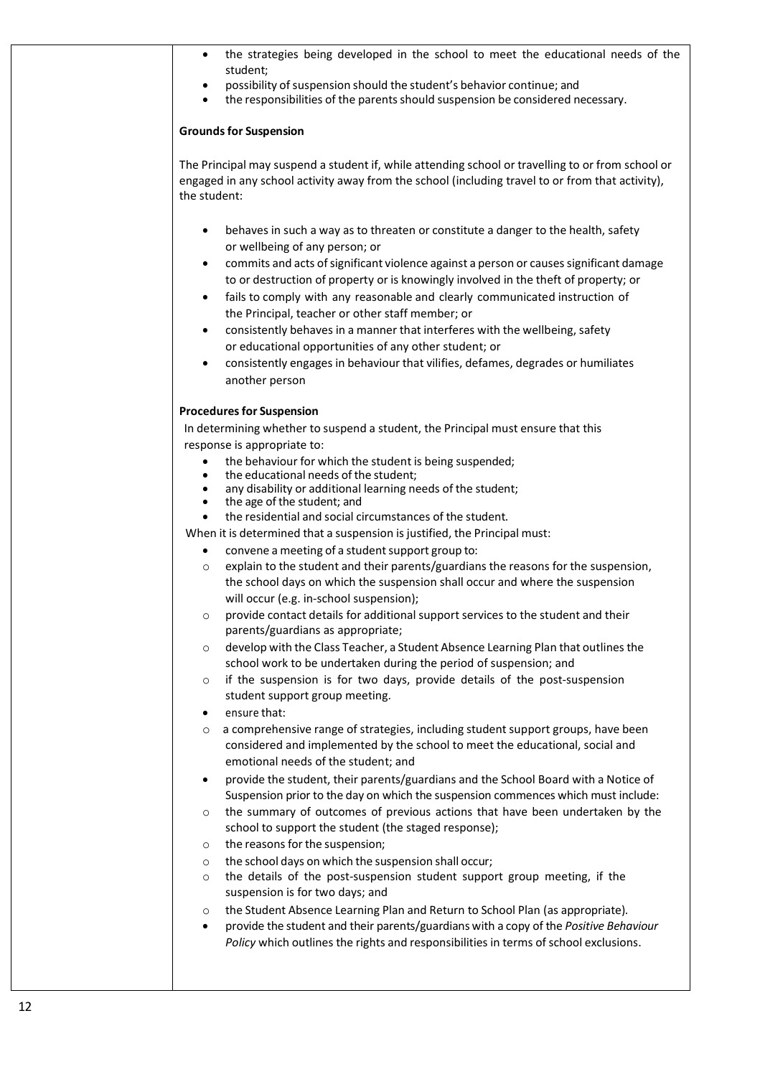| possibility of suspension should the student's behavior continue; and<br>$\bullet$<br>the responsibilities of the parents should suspension be considered necessary.<br>$\bullet$<br><b>Grounds for Suspension</b><br>The Principal may suspend a student if, while attending school or travelling to or from school or<br>engaged in any school activity away from the school (including travel to or from that activity),<br>the student:<br>behaves in such a way as to threaten or constitute a danger to the health, safety<br>$\bullet$<br>or wellbeing of any person; or<br>commits and acts of significant violence against a person or causes significant damage<br>٠<br>to or destruction of property or is knowingly involved in the theft of property; or<br>fails to comply with any reasonable and clearly communicated instruction of<br>$\bullet$<br>the Principal, teacher or other staff member; or<br>consistently behaves in a manner that interferes with the wellbeing, safety<br>$\bullet$<br>or educational opportunities of any other student; or<br>consistently engages in behaviour that vilifies, defames, degrades or humiliates<br>$\bullet$<br>another person<br><b>Procedures for Suspension</b><br>In determining whether to suspend a student, the Principal must ensure that this<br>response is appropriate to:<br>the behaviour for which the student is being suspended;<br>$\bullet$<br>the educational needs of the student;<br>$\bullet$<br>any disability or additional learning needs of the student;<br>٠<br>the age of the student; and<br>$\bullet$<br>the residential and social circumstances of the student.<br>$\bullet$<br>When it is determined that a suspension is justified, the Principal must:<br>convene a meeting of a student support group to:<br>$\bullet$<br>explain to the student and their parents/guardians the reasons for the suspension,<br>$\circ$<br>the school days on which the suspension shall occur and where the suspension<br>will occur (e.g. in-school suspension);<br>provide contact details for additional support services to the student and their<br>O<br>parents/guardians as appropriate;<br>develop with the Class Teacher, a Student Absence Learning Plan that outlines the<br>O<br>school work to be undertaken during the period of suspension; and |  |
|----------------------------------------------------------------------------------------------------------------------------------------------------------------------------------------------------------------------------------------------------------------------------------------------------------------------------------------------------------------------------------------------------------------------------------------------------------------------------------------------------------------------------------------------------------------------------------------------------------------------------------------------------------------------------------------------------------------------------------------------------------------------------------------------------------------------------------------------------------------------------------------------------------------------------------------------------------------------------------------------------------------------------------------------------------------------------------------------------------------------------------------------------------------------------------------------------------------------------------------------------------------------------------------------------------------------------------------------------------------------------------------------------------------------------------------------------------------------------------------------------------------------------------------------------------------------------------------------------------------------------------------------------------------------------------------------------------------------------------------------------------------------------------------------------------------------------------------------------------------------------------------------------------------------------------------------------------------------------------------------------------------------------------------------------------------------------------------------------------------------------------------------------------------------------------------------------------------------------------------------------------------------------------------------------------------------------------------------------|--|
|                                                                                                                                                                                                                                                                                                                                                                                                                                                                                                                                                                                                                                                                                                                                                                                                                                                                                                                                                                                                                                                                                                                                                                                                                                                                                                                                                                                                                                                                                                                                                                                                                                                                                                                                                                                                                                                                                                                                                                                                                                                                                                                                                                                                                                                                                                                                                    |  |
|                                                                                                                                                                                                                                                                                                                                                                                                                                                                                                                                                                                                                                                                                                                                                                                                                                                                                                                                                                                                                                                                                                                                                                                                                                                                                                                                                                                                                                                                                                                                                                                                                                                                                                                                                                                                                                                                                                                                                                                                                                                                                                                                                                                                                                                                                                                                                    |  |
|                                                                                                                                                                                                                                                                                                                                                                                                                                                                                                                                                                                                                                                                                                                                                                                                                                                                                                                                                                                                                                                                                                                                                                                                                                                                                                                                                                                                                                                                                                                                                                                                                                                                                                                                                                                                                                                                                                                                                                                                                                                                                                                                                                                                                                                                                                                                                    |  |
|                                                                                                                                                                                                                                                                                                                                                                                                                                                                                                                                                                                                                                                                                                                                                                                                                                                                                                                                                                                                                                                                                                                                                                                                                                                                                                                                                                                                                                                                                                                                                                                                                                                                                                                                                                                                                                                                                                                                                                                                                                                                                                                                                                                                                                                                                                                                                    |  |
|                                                                                                                                                                                                                                                                                                                                                                                                                                                                                                                                                                                                                                                                                                                                                                                                                                                                                                                                                                                                                                                                                                                                                                                                                                                                                                                                                                                                                                                                                                                                                                                                                                                                                                                                                                                                                                                                                                                                                                                                                                                                                                                                                                                                                                                                                                                                                    |  |
|                                                                                                                                                                                                                                                                                                                                                                                                                                                                                                                                                                                                                                                                                                                                                                                                                                                                                                                                                                                                                                                                                                                                                                                                                                                                                                                                                                                                                                                                                                                                                                                                                                                                                                                                                                                                                                                                                                                                                                                                                                                                                                                                                                                                                                                                                                                                                    |  |
|                                                                                                                                                                                                                                                                                                                                                                                                                                                                                                                                                                                                                                                                                                                                                                                                                                                                                                                                                                                                                                                                                                                                                                                                                                                                                                                                                                                                                                                                                                                                                                                                                                                                                                                                                                                                                                                                                                                                                                                                                                                                                                                                                                                                                                                                                                                                                    |  |
|                                                                                                                                                                                                                                                                                                                                                                                                                                                                                                                                                                                                                                                                                                                                                                                                                                                                                                                                                                                                                                                                                                                                                                                                                                                                                                                                                                                                                                                                                                                                                                                                                                                                                                                                                                                                                                                                                                                                                                                                                                                                                                                                                                                                                                                                                                                                                    |  |
|                                                                                                                                                                                                                                                                                                                                                                                                                                                                                                                                                                                                                                                                                                                                                                                                                                                                                                                                                                                                                                                                                                                                                                                                                                                                                                                                                                                                                                                                                                                                                                                                                                                                                                                                                                                                                                                                                                                                                                                                                                                                                                                                                                                                                                                                                                                                                    |  |
|                                                                                                                                                                                                                                                                                                                                                                                                                                                                                                                                                                                                                                                                                                                                                                                                                                                                                                                                                                                                                                                                                                                                                                                                                                                                                                                                                                                                                                                                                                                                                                                                                                                                                                                                                                                                                                                                                                                                                                                                                                                                                                                                                                                                                                                                                                                                                    |  |
|                                                                                                                                                                                                                                                                                                                                                                                                                                                                                                                                                                                                                                                                                                                                                                                                                                                                                                                                                                                                                                                                                                                                                                                                                                                                                                                                                                                                                                                                                                                                                                                                                                                                                                                                                                                                                                                                                                                                                                                                                                                                                                                                                                                                                                                                                                                                                    |  |
|                                                                                                                                                                                                                                                                                                                                                                                                                                                                                                                                                                                                                                                                                                                                                                                                                                                                                                                                                                                                                                                                                                                                                                                                                                                                                                                                                                                                                                                                                                                                                                                                                                                                                                                                                                                                                                                                                                                                                                                                                                                                                                                                                                                                                                                                                                                                                    |  |
|                                                                                                                                                                                                                                                                                                                                                                                                                                                                                                                                                                                                                                                                                                                                                                                                                                                                                                                                                                                                                                                                                                                                                                                                                                                                                                                                                                                                                                                                                                                                                                                                                                                                                                                                                                                                                                                                                                                                                                                                                                                                                                                                                                                                                                                                                                                                                    |  |
|                                                                                                                                                                                                                                                                                                                                                                                                                                                                                                                                                                                                                                                                                                                                                                                                                                                                                                                                                                                                                                                                                                                                                                                                                                                                                                                                                                                                                                                                                                                                                                                                                                                                                                                                                                                                                                                                                                                                                                                                                                                                                                                                                                                                                                                                                                                                                    |  |
|                                                                                                                                                                                                                                                                                                                                                                                                                                                                                                                                                                                                                                                                                                                                                                                                                                                                                                                                                                                                                                                                                                                                                                                                                                                                                                                                                                                                                                                                                                                                                                                                                                                                                                                                                                                                                                                                                                                                                                                                                                                                                                                                                                                                                                                                                                                                                    |  |
|                                                                                                                                                                                                                                                                                                                                                                                                                                                                                                                                                                                                                                                                                                                                                                                                                                                                                                                                                                                                                                                                                                                                                                                                                                                                                                                                                                                                                                                                                                                                                                                                                                                                                                                                                                                                                                                                                                                                                                                                                                                                                                                                                                                                                                                                                                                                                    |  |
|                                                                                                                                                                                                                                                                                                                                                                                                                                                                                                                                                                                                                                                                                                                                                                                                                                                                                                                                                                                                                                                                                                                                                                                                                                                                                                                                                                                                                                                                                                                                                                                                                                                                                                                                                                                                                                                                                                                                                                                                                                                                                                                                                                                                                                                                                                                                                    |  |
|                                                                                                                                                                                                                                                                                                                                                                                                                                                                                                                                                                                                                                                                                                                                                                                                                                                                                                                                                                                                                                                                                                                                                                                                                                                                                                                                                                                                                                                                                                                                                                                                                                                                                                                                                                                                                                                                                                                                                                                                                                                                                                                                                                                                                                                                                                                                                    |  |
|                                                                                                                                                                                                                                                                                                                                                                                                                                                                                                                                                                                                                                                                                                                                                                                                                                                                                                                                                                                                                                                                                                                                                                                                                                                                                                                                                                                                                                                                                                                                                                                                                                                                                                                                                                                                                                                                                                                                                                                                                                                                                                                                                                                                                                                                                                                                                    |  |
|                                                                                                                                                                                                                                                                                                                                                                                                                                                                                                                                                                                                                                                                                                                                                                                                                                                                                                                                                                                                                                                                                                                                                                                                                                                                                                                                                                                                                                                                                                                                                                                                                                                                                                                                                                                                                                                                                                                                                                                                                                                                                                                                                                                                                                                                                                                                                    |  |
|                                                                                                                                                                                                                                                                                                                                                                                                                                                                                                                                                                                                                                                                                                                                                                                                                                                                                                                                                                                                                                                                                                                                                                                                                                                                                                                                                                                                                                                                                                                                                                                                                                                                                                                                                                                                                                                                                                                                                                                                                                                                                                                                                                                                                                                                                                                                                    |  |
| if the suspension is for two days, provide details of the post-suspension<br>$\circ$<br>student support group meeting.                                                                                                                                                                                                                                                                                                                                                                                                                                                                                                                                                                                                                                                                                                                                                                                                                                                                                                                                                                                                                                                                                                                                                                                                                                                                                                                                                                                                                                                                                                                                                                                                                                                                                                                                                                                                                                                                                                                                                                                                                                                                                                                                                                                                                             |  |
| ensure that:<br>$\bullet$                                                                                                                                                                                                                                                                                                                                                                                                                                                                                                                                                                                                                                                                                                                                                                                                                                                                                                                                                                                                                                                                                                                                                                                                                                                                                                                                                                                                                                                                                                                                                                                                                                                                                                                                                                                                                                                                                                                                                                                                                                                                                                                                                                                                                                                                                                                          |  |
| a comprehensive range of strategies, including student support groups, have been<br>$\circ$<br>considered and implemented by the school to meet the educational, social and<br>emotional needs of the student; and                                                                                                                                                                                                                                                                                                                                                                                                                                                                                                                                                                                                                                                                                                                                                                                                                                                                                                                                                                                                                                                                                                                                                                                                                                                                                                                                                                                                                                                                                                                                                                                                                                                                                                                                                                                                                                                                                                                                                                                                                                                                                                                                 |  |
| provide the student, their parents/guardians and the School Board with a Notice of<br>٠<br>Suspension prior to the day on which the suspension commences which must include:                                                                                                                                                                                                                                                                                                                                                                                                                                                                                                                                                                                                                                                                                                                                                                                                                                                                                                                                                                                                                                                                                                                                                                                                                                                                                                                                                                                                                                                                                                                                                                                                                                                                                                                                                                                                                                                                                                                                                                                                                                                                                                                                                                       |  |
| the summary of outcomes of previous actions that have been undertaken by the<br>$\circ$<br>school to support the student (the staged response);                                                                                                                                                                                                                                                                                                                                                                                                                                                                                                                                                                                                                                                                                                                                                                                                                                                                                                                                                                                                                                                                                                                                                                                                                                                                                                                                                                                                                                                                                                                                                                                                                                                                                                                                                                                                                                                                                                                                                                                                                                                                                                                                                                                                    |  |
| the reasons for the suspension;<br>$\circ$                                                                                                                                                                                                                                                                                                                                                                                                                                                                                                                                                                                                                                                                                                                                                                                                                                                                                                                                                                                                                                                                                                                                                                                                                                                                                                                                                                                                                                                                                                                                                                                                                                                                                                                                                                                                                                                                                                                                                                                                                                                                                                                                                                                                                                                                                                         |  |
| the school days on which the suspension shall occur;<br>$\circ$                                                                                                                                                                                                                                                                                                                                                                                                                                                                                                                                                                                                                                                                                                                                                                                                                                                                                                                                                                                                                                                                                                                                                                                                                                                                                                                                                                                                                                                                                                                                                                                                                                                                                                                                                                                                                                                                                                                                                                                                                                                                                                                                                                                                                                                                                    |  |
| the details of the post-suspension student support group meeting, if the<br>$\circ$<br>suspension is for two days; and                                                                                                                                                                                                                                                                                                                                                                                                                                                                                                                                                                                                                                                                                                                                                                                                                                                                                                                                                                                                                                                                                                                                                                                                                                                                                                                                                                                                                                                                                                                                                                                                                                                                                                                                                                                                                                                                                                                                                                                                                                                                                                                                                                                                                             |  |
| the Student Absence Learning Plan and Return to School Plan (as appropriate).<br>$\circ$<br>provide the student and their parents/guardians with a copy of the Positive Behaviour<br>$\bullet$<br>Policy which outlines the rights and responsibilities in terms of school exclusions.                                                                                                                                                                                                                                                                                                                                                                                                                                                                                                                                                                                                                                                                                                                                                                                                                                                                                                                                                                                                                                                                                                                                                                                                                                                                                                                                                                                                                                                                                                                                                                                                                                                                                                                                                                                                                                                                                                                                                                                                                                                             |  |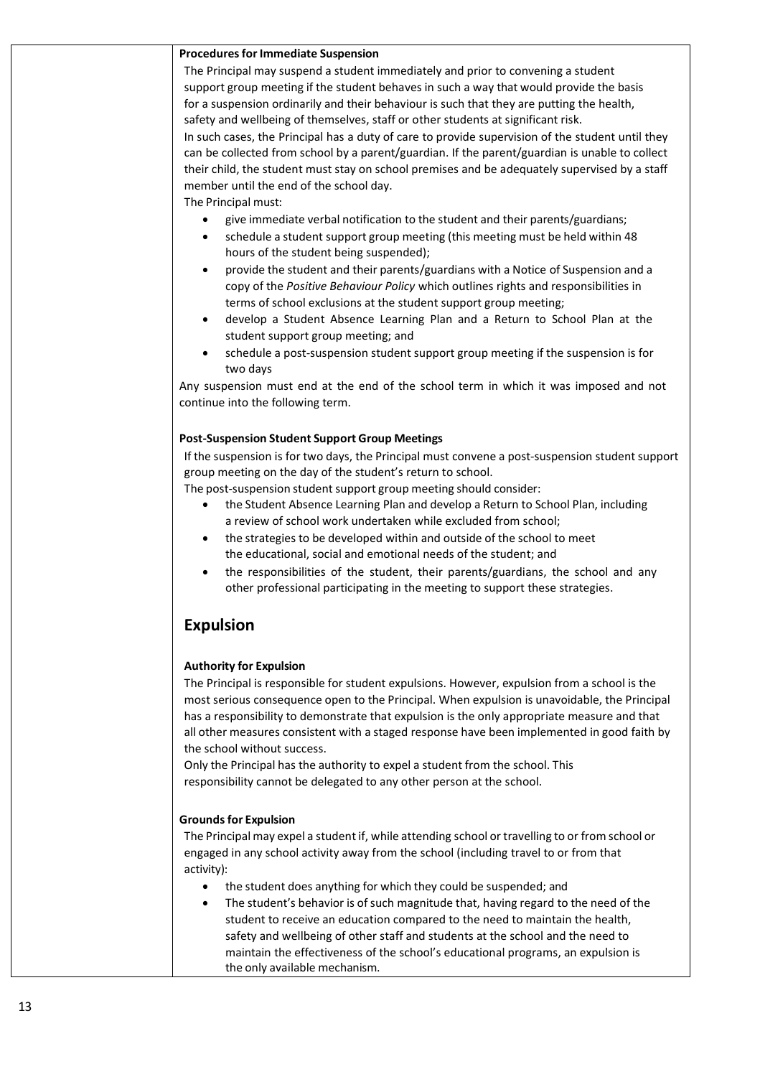#### **Procedures for Immediate Suspension**

The Principal may suspend a student immediately and prior to convening a student support group meeting if the student behaves in such a way that would provide the basis for a suspension ordinarily and their behaviour is such that they are putting the health, safety and wellbeing of themselves, staff or other students at significant risk.

In such cases, the Principal has a duty of care to provide supervision of the student until they can be collected from school by a parent/guardian. If the parent/guardian is unable to collect their child, the student must stay on school premises and be adequately supervised by a staff member until the end of the school day.

The Principal must:

- give immediate verbal notification to the student and their parents/guardians;
- schedule a student support group meeting (this meeting must be held within 48 hours of the student being suspended);
- provide the student and their parents/guardians with a Notice of Suspension and a copy of the *Positive Behaviour Policy* which outlines rights and responsibilities in terms of school exclusions at the student support group meeting;
- develop a Student Absence Learning Plan and a Return to School Plan at the student support group meeting; and
- schedule a post-suspension student support group meeting if the suspension is for two days

Any suspension must end at the end of the school term in which it was imposed and not continue into the following term.

#### **Post-Suspension Student Support Group Meetings**

If the suspension is for two days, the Principal must convene a post-suspension studentsupport group meeting on the day of the student's return to school.

The post-suspension student support group meeting should consider:

- the Student Absence Learning Plan and develop a Return to School Plan, including a review of school work undertaken while excluded from school;
- the strategies to be developed within and outside of the school to meet the educational, social and emotional needs of the student; and
- the responsibilities of the student, their parents/guardians, the school and any other professional participating in the meeting to support these strategies.

### **Expulsion**

### **Authority for Expulsion**

The Principal is responsible for student expulsions. However, expulsion from a school is the most serious consequence open to the Principal. When expulsion is unavoidable, the Principal has a responsibility to demonstrate that expulsion is the only appropriate measure and that all other measures consistent with a staged response have been implemented in good faith by the school without success.

Only the Principal has the authority to expel a student from the school. This responsibility cannot be delegated to any other person at the school.

#### **Groundsfor Expulsion**

The Principal may expel a student if, while attending school or travelling to or from school or engaged in any school activity away from the school (including travel to or from that activity):

- the student does anything for which they could be suspended; and
- The student's behavior is of such magnitude that, having regard to the need of the student to receive an education compared to the need to maintain the health, safety and wellbeing of other staff and students at the school and the need to maintain the effectiveness of the school's educational programs, an expulsion is the only available mechanism.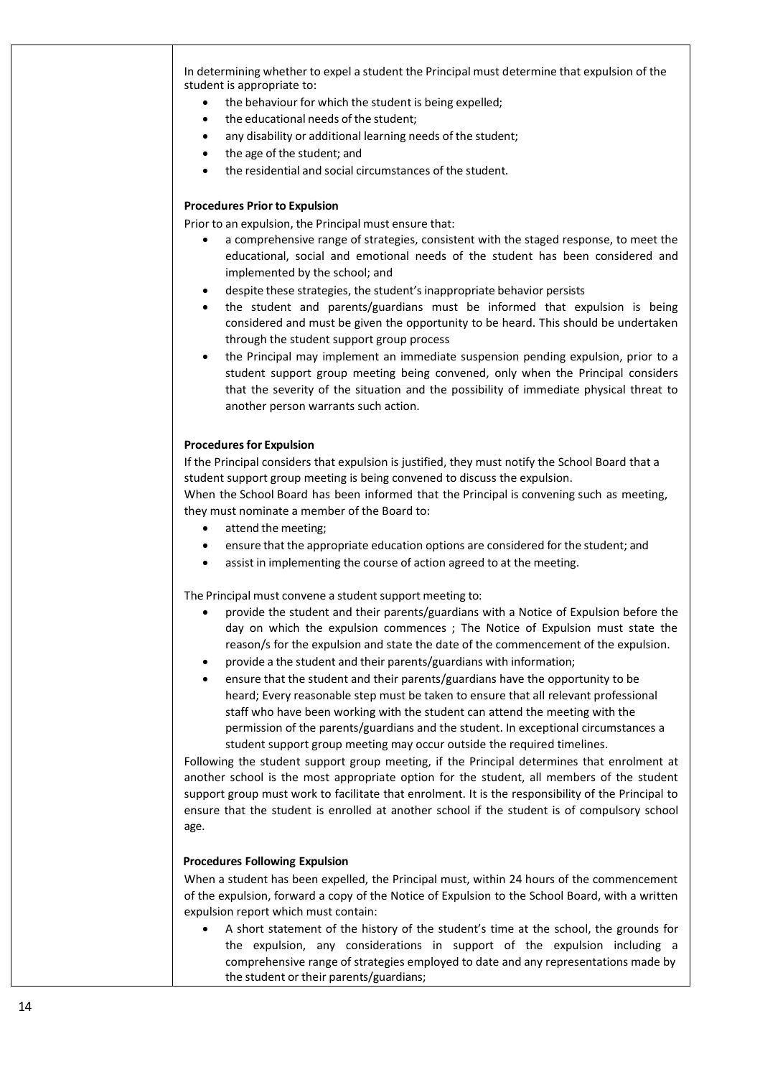In determining whether to expel a student the Principal must determine that expulsion of the student is appropriate to:

- the behaviour for which the student is being expelled;
- the educational needs of the student;
- any disability or additional learning needs of the student:
- the age of the student; and
- the residential and social circumstances of the student.

#### **Procedures Prior to Expulsion**

Prior to an expulsion, the Principal must ensure that:

- a comprehensive range of strategies, consistent with the staged response, to meet the educational, social and emotional needs of the student has been considered and implemented by the school; and
- despite these strategies, the student'sinappropriate behavior persists
- the student and parents/guardians must be informed that expulsion is being considered and must be given the opportunity to be heard. This should be undertaken through the student support group process
- the Principal may implement an immediate suspension pending expulsion, prior to a student support group meeting being convened, only when the Principal considers that the severity of the situation and the possibility of immediate physical threat to another person warrants such action.

#### **Procedures for Expulsion**

If the Principal considers that expulsion is justified, they must notify the School Board that a student support group meeting is being convened to discuss the expulsion. When the School Board has been informed that the Principal is convening such as meeting, they must nominate a member of the Board to:

- attend the meeting;
- ensure that the appropriate education options are considered for the student; and
- assist in implementing the course of action agreed to at the meeting.

The Principal must convene a student support meeting to:

- provide the student and their parents/guardians with a Notice of Expulsion before the day on which the expulsion commences ; The Notice of Expulsion must state the reason/s for the expulsion and state the date of the commencement of the expulsion.
- provide a the student and their parents/guardians with information;
- ensure that the student and their parents/guardians have the opportunity to be heard; Every reasonable step must be taken to ensure that all relevant professional staff who have been working with the student can attend the meeting with the permission of the parents/guardians and the student. In exceptional circumstances a student support group meeting may occur outside the required timelines.

Following the student support group meeting, if the Principal determines that enrolment at another school is the most appropriate option for the student, all members of the student support group must work to facilitate that enrolment. It is the responsibility of the Principal to ensure that the student is enrolled at another school if the student is of compulsory school age.

#### **Procedures Following Expulsion**

When a student has been expelled, the Principal must, within 24 hours of the commencement of the expulsion, forward a copy of the Notice of Expulsion to the School Board, with a written expulsion report which must contain:

• A short statement of the history of the student's time at the school, the grounds for the expulsion, any considerations in support of the expulsion including a comprehensive range of strategies employed to date and any representations made by the student or their parents/guardians;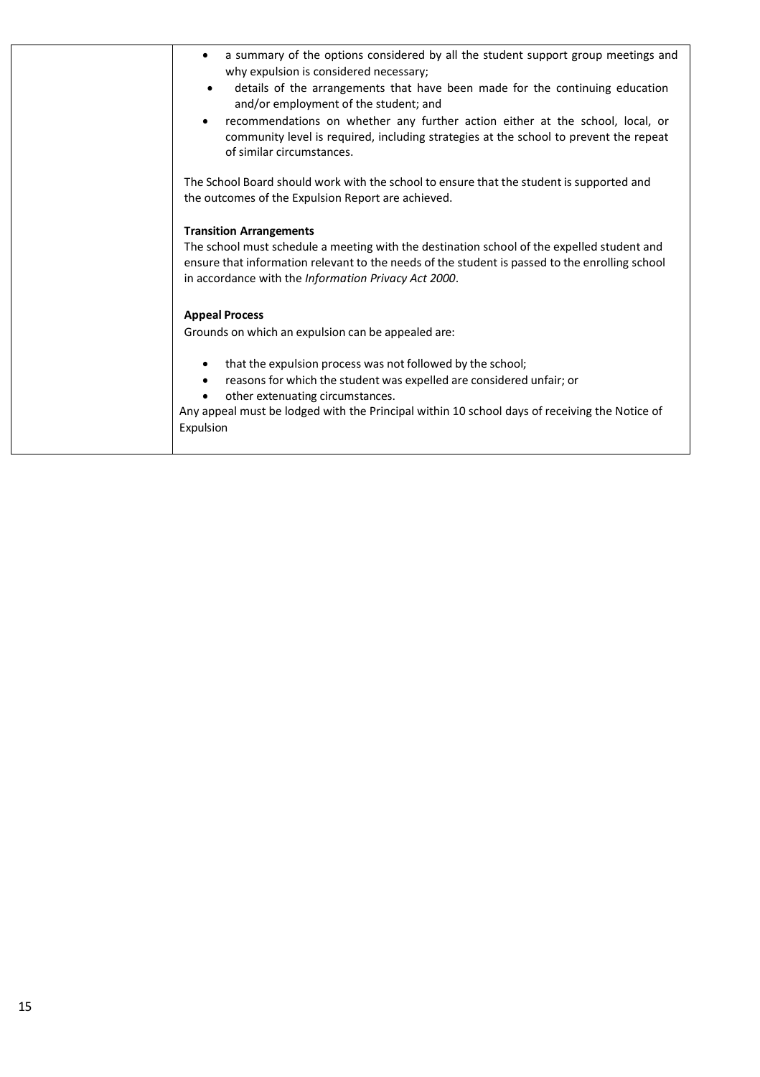| a summary of the options considered by all the student support group meetings and<br>$\bullet$<br>why expulsion is considered necessary;                                                                                                             |
|------------------------------------------------------------------------------------------------------------------------------------------------------------------------------------------------------------------------------------------------------|
| details of the arrangements that have been made for the continuing education<br>and/or employment of the student; and                                                                                                                                |
| recommendations on whether any further action either at the school, local, or<br>community level is required, including strategies at the school to prevent the repeat<br>of similar circumstances.                                                  |
| The School Board should work with the school to ensure that the student is supported and<br>the outcomes of the Expulsion Report are achieved.                                                                                                       |
| <b>Transition Arrangements</b>                                                                                                                                                                                                                       |
| The school must schedule a meeting with the destination school of the expelled student and<br>ensure that information relevant to the needs of the student is passed to the enrolling school<br>in accordance with the Information Privacy Act 2000. |
| <b>Appeal Process</b>                                                                                                                                                                                                                                |
| Grounds on which an expulsion can be appealed are:                                                                                                                                                                                                   |
| that the expulsion process was not followed by the school;<br>$\bullet$                                                                                                                                                                              |
| reasons for which the student was expelled are considered unfair; or<br>$\bullet$<br>other extenuating circumstances.                                                                                                                                |
| Any appeal must be lodged with the Principal within 10 school days of receiving the Notice of<br>Expulsion                                                                                                                                           |
|                                                                                                                                                                                                                                                      |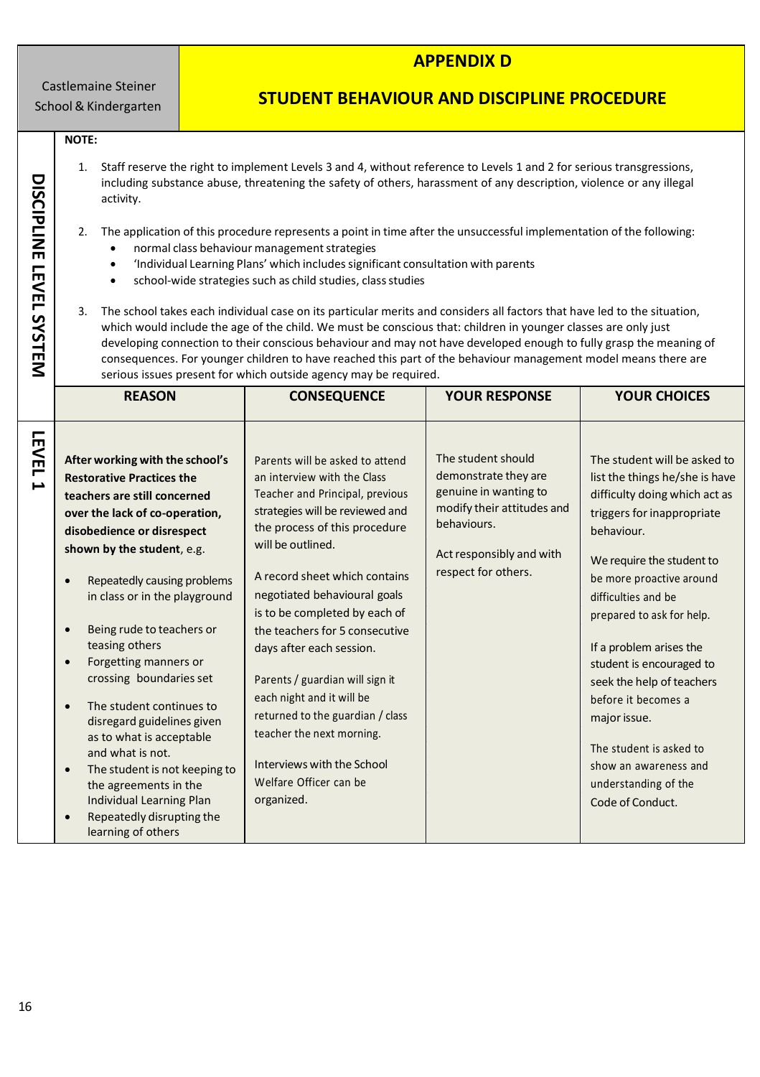Castlemaine Steiner School& Kindergarten

## **APPENDIX D**

# **STUDENT BEHAVIOUR AND DISCIPLINE PROCEDURE**

#### **NOTE:**

**DISCIPLINE**

**LEVEL**

**SYSTEM**

- 1. Staff reserve the right to implement Levels 3 and 4, without reference to Levels 1 and 2 for serious transgressions, including substance abuse, threatening the safety of others, harassment of any description, violence or any illegal activity.
- 2. The application of this procedure represents a point in time after the unsuccessful implementation of the following:
	- normal class behaviour management strategies
	- 'Individual Learning Plans' which includes significant consultation with parents
	- school-wide strategies such as child studies, class studies
- 3. The school takes each individual case on its particular merits and considers all factors that have led to the situation, which would include the age of the child. We must be conscious that: children in younger classes are only just developing connection to their conscious behaviour and may not have developed enough to fully grasp the meaning of consequences. For younger children to have reached this part of the behaviour management model means there are serious issues present for which outside agency may be required.

|                                       | <b>REASON</b>                                                                                                                                                                                                                                                                                                                                                                                                                                                                                                                                                                                                                                                                            | <b>CONSEQUENCE</b>                                                                                                                                                                                                                                                                                                                                                                                                                                                                                                                                                | <b>YOUR RESPONSE</b>                                                                                                                                                | <b>YOUR CHOICES</b>                                                                                                                                                                                                                                                                                                                                                                                                                                                                 |
|---------------------------------------|------------------------------------------------------------------------------------------------------------------------------------------------------------------------------------------------------------------------------------------------------------------------------------------------------------------------------------------------------------------------------------------------------------------------------------------------------------------------------------------------------------------------------------------------------------------------------------------------------------------------------------------------------------------------------------------|-------------------------------------------------------------------------------------------------------------------------------------------------------------------------------------------------------------------------------------------------------------------------------------------------------------------------------------------------------------------------------------------------------------------------------------------------------------------------------------------------------------------------------------------------------------------|---------------------------------------------------------------------------------------------------------------------------------------------------------------------|-------------------------------------------------------------------------------------------------------------------------------------------------------------------------------------------------------------------------------------------------------------------------------------------------------------------------------------------------------------------------------------------------------------------------------------------------------------------------------------|
| <b>LEVEL</b><br>$\blacktriangleright$ | After working with the school's<br><b>Restorative Practices the</b><br>teachers are still concerned<br>over the lack of co-operation,<br>disobedience or disrespect<br>shown by the student, e.g.<br>Repeatedly causing problems<br>$\bullet$<br>in class or in the playground<br>Being rude to teachers or<br>$\bullet$<br>teasing others<br>Forgetting manners or<br>$\bullet$<br>crossing boundaries set<br>The student continues to<br>$\bullet$<br>disregard guidelines given<br>as to what is acceptable<br>and what is not.<br>The student is not keeping to<br>$\bullet$<br>the agreements in the<br>Individual Learning Plan<br>Repeatedly disrupting the<br>learning of others | Parents will be asked to attend<br>an interview with the Class<br>Teacher and Principal, previous<br>strategies will be reviewed and<br>the process of this procedure<br>will be outlined.<br>A record sheet which contains<br>negotiated behavioural goals<br>is to be completed by each of<br>the teachers for 5 consecutive<br>days after each session.<br>Parents / guardian will sign it<br>each night and it will be<br>returned to the guardian / class<br>teacher the next morning.<br>Interviews with the School<br>Welfare Officer can be<br>organized. | The student should<br>demonstrate they are<br>genuine in wanting to<br>modify their attitudes and<br>behaviours.<br>Act responsibly and with<br>respect for others. | The student will be asked to<br>list the things he/she is have<br>difficulty doing which act as<br>triggers for inappropriate<br>behaviour.<br>We require the student to<br>be more proactive around<br>difficulties and be<br>prepared to ask for help.<br>If a problem arises the<br>student is encouraged to<br>seek the help of teachers<br>before it becomes a<br>major issue.<br>The student is asked to<br>show an awareness and<br>understanding of the<br>Code of Conduct. |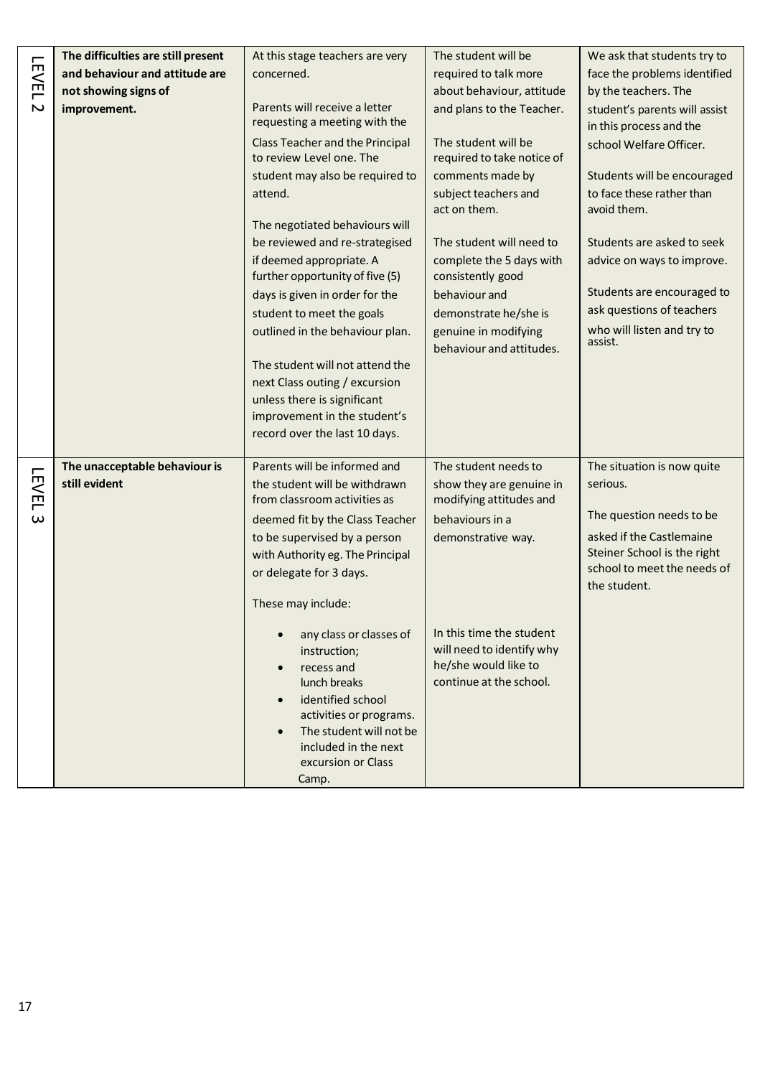|              | The difficulties are still present | At this stage teachers are very                                                                                                                                                                         | The student will be                                                                                      | We ask that students try to                                                            |
|--------------|------------------------------------|---------------------------------------------------------------------------------------------------------------------------------------------------------------------------------------------------------|----------------------------------------------------------------------------------------------------------|----------------------------------------------------------------------------------------|
| <b>LEVEL</b> | and behaviour and attitude are     | concerned.                                                                                                                                                                                              | required to talk more                                                                                    | face the problems identified                                                           |
|              | not showing signs of               |                                                                                                                                                                                                         | about behaviour, attitude                                                                                | by the teachers. The                                                                   |
| $\sim$       | improvement.                       | Parents will receive a letter<br>requesting a meeting with the                                                                                                                                          | and plans to the Teacher.                                                                                | student's parents will assist<br>in this process and the                               |
|              |                                    | Class Teacher and the Principal<br>to review Level one. The                                                                                                                                             | The student will be<br>required to take notice of                                                        | school Welfare Officer.                                                                |
|              |                                    | student may also be required to                                                                                                                                                                         | comments made by                                                                                         | Students will be encouraged                                                            |
|              |                                    | attend.                                                                                                                                                                                                 | subject teachers and<br>act on them.                                                                     | to face these rather than<br>avoid them.                                               |
|              |                                    | The negotiated behaviours will                                                                                                                                                                          |                                                                                                          |                                                                                        |
|              |                                    | be reviewed and re-strategised                                                                                                                                                                          | The student will need to                                                                                 | Students are asked to seek                                                             |
|              |                                    | if deemed appropriate. A<br>further opportunity of five (5)                                                                                                                                             | complete the 5 days with<br>consistently good                                                            | advice on ways to improve.                                                             |
|              |                                    | days is given in order for the                                                                                                                                                                          | behaviour and                                                                                            | Students are encouraged to                                                             |
|              |                                    | student to meet the goals                                                                                                                                                                               | demonstrate he/she is                                                                                    | ask questions of teachers                                                              |
|              |                                    | outlined in the behaviour plan.                                                                                                                                                                         | genuine in modifying<br>behaviour and attitudes.                                                         | who will listen and try to<br>assist.                                                  |
|              |                                    | The student will not attend the                                                                                                                                                                         |                                                                                                          |                                                                                        |
|              |                                    | next Class outing / excursion                                                                                                                                                                           |                                                                                                          |                                                                                        |
|              |                                    | unless there is significant                                                                                                                                                                             |                                                                                                          |                                                                                        |
|              |                                    | improvement in the student's                                                                                                                                                                            |                                                                                                          |                                                                                        |
|              |                                    | record over the last 10 days.                                                                                                                                                                           |                                                                                                          |                                                                                        |
|              | The unacceptable behaviour is      | Parents will be informed and                                                                                                                                                                            | The student needs to                                                                                     | The situation is now quite                                                             |
| <b>LEVEL</b> | still evident                      | the student will be withdrawn                                                                                                                                                                           | show they are genuine in                                                                                 | serious.                                                                               |
|              |                                    | from classroom activities as                                                                                                                                                                            | modifying attitudes and                                                                                  |                                                                                        |
| $\omega$     |                                    | deemed fit by the Class Teacher                                                                                                                                                                         | behaviours in a                                                                                          | The question needs to be                                                               |
|              |                                    | to be supervised by a person<br>with Authority eg. The Principal<br>or delegate for 3 days.                                                                                                             | demonstrative way.                                                                                       | asked if the Castlemaine<br>Steiner School is the right<br>school to meet the needs of |
|              |                                    | These may include:                                                                                                                                                                                      |                                                                                                          | the student.                                                                           |
|              |                                    | any class or classes of<br>instruction;<br>recess and<br>lunch breaks<br>identified school<br>activities or programs.<br>The student will not be<br>included in the next<br>excursion or Class<br>Camp. | In this time the student<br>will need to identify why<br>he/she would like to<br>continue at the school. |                                                                                        |